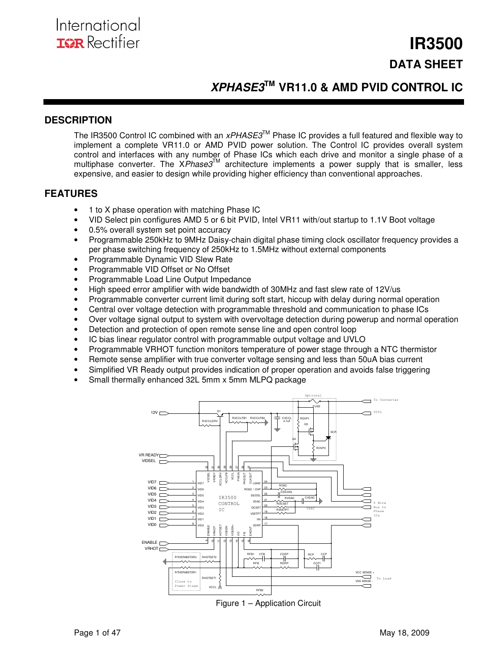## **IR3500 DATA SHEET**

## **XPHASE3TM VR11.0 & AMD PVID CONTROL IC**

### **DESCRIPTION**

The IR3500 Control IC combined with an  $xPHASE3^{\text{TM}}$  Phase IC provides a full featured and flexible way to implement a complete VR11.0 or AMD PVID power solution. The Control IC provides overall system control and interfaces with any number of Phase ICs which each drive and monitor a single phase of a multiphase converter. The  $\mathsf{X}Phase3^{\mathsf{TM}}$  architecture implements a power supply that is smaller, less expensive, and easier to design while providing higher efficiency than conventional approaches.

### **FEATURES**

- 1 to X phase operation with matching Phase IC
- VID Select pin configures AMD 5 or 6 bit PVID, Intel VR11 with/out startup to 1.1V Boot voltage
- 0.5% overall system set point accuracy
- Programmable 250kHz to 9MHz Daisy-chain digital phase timing clock oscillator frequency provides a per phase switching frequency of 250kHz to 1.5MHz without external components
- Programmable Dynamic VID Slew Rate
- Programmable VID Offset or No Offset
- Programmable Load Line Output Impedance
- High speed error amplifier with wide bandwidth of 30MHz and fast slew rate of 12V/us
- Programmable converter current limit during soft start, hiccup with delay during normal operation
- Central over voltage detection with programmable threshold and communication to phase ICs
- Over voltage signal output to system with overvoltage detection during powerup and normal operation
- Detection and protection of open remote sense line and open control loop
- IC bias linear regulator control with programmable output voltage and UVLO
- Programmable VRHOT function monitors temperature of power stage through a NTC thermistor
- Remote sense amplifier with true converter voltage sensing and less than 50uA bias current
- Simplified VR Ready output provides indication of proper operation and avoids false triggering
- Small thermally enhanced 32L 5mm x 5mm MLPQ package



Figure 1 – Application Circuit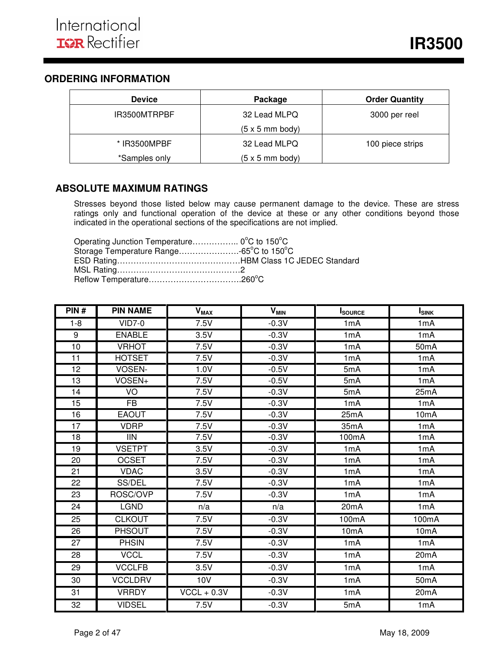## **ORDERING INFORMATION**

| <b>Device</b> | Package                        | <b>Order Quantity</b> |
|---------------|--------------------------------|-----------------------|
| IR3500MTRPBF  | 32 Lead MLPQ                   | 3000 per reel         |
|               | $(5 \times 5 \text{ mm}$ body) |                       |
| * IR3500MPBF  | 32 Lead MLPQ                   | 100 piece strips      |
| *Samples only | $(5 \times 5 \text{ mm}$ body) |                       |

### **ABSOLUTE MAXIMUM RATINGS**

Stresses beyond those listed below may cause permanent damage to the device. These are stress ratings only and functional operation of the device at these or any other conditions beyond those indicated in the operational sections of the specifications are not implied.

Operating Junction Temperature…………….. 0°C to 150°C Storage Temperature Range………………….-65<sup>o</sup>C to 150<sup>o</sup>C ESD Rating………………………………………HBM Class 1C JEDEC Standard MSL Rating………………………………………2 Reflow Temperature…………………………………………260°C

| PIN#            | <b>PIN NAME</b> | <b>V<sub>MAX</sub></b> | <b>V<sub>MIN</sub></b> | <b>I</b> SOURCE   | $I_{SINK}$        |
|-----------------|-----------------|------------------------|------------------------|-------------------|-------------------|
| $1 - 8$         | $VID7-0$        | 7.5V                   | $-0.3V$                | 1mA               | 1mA               |
| 9               | <b>ENABLE</b>   | 3.5V                   | $-0.3V$                | 1mA               | 1mA               |
| 10              | <b>VRHOT</b>    | 7.5V                   | $-0.3V$                | 1mA               | 50 <sub>m</sub> A |
| 11              | <b>HOTSET</b>   | 7.5V                   | $-0.3V$                | 1mA               | 1mA               |
| $\overline{12}$ | VOSEN-          | 1.0V                   | $-0.5V$                | 5mA               | 1mA               |
| 13              | VOSEN+          | 7.5V                   | $-0.5V$                | 5mA               | 1mA               |
| 14              | VO              | 7.5V                   | $-0.3V$                | 5mA               | 25mA              |
| 15              | <b>FB</b>       | 7.5V                   | $-0.3V$                | 1mA               | 1mA               |
| 16              | <b>EAOUT</b>    | 7.5V                   | $-0.3V$                | 25mA              | 10 <sub>m</sub> A |
| 17              | <b>VDRP</b>     | 7.5V                   | $-0.3V$                | 35mA              | 1mA               |
| 18              | <b>IIN</b>      | 7.5V                   | $-0.3V$                | 100mA             | 1mA               |
| 19              | <b>VSETPT</b>   | 3.5V                   | $-0.3V$                | 1mA               | 1 <sub>m</sub> A  |
| 20              | <b>OCSET</b>    | 7.5V                   | $-0.3V$                | 1mA               | 1mA               |
| 21              | <b>VDAC</b>     | 3.5V                   | $-0.3V$                | 1mA               | 1 <sub>m</sub> A  |
| 22              | SS/DEL          | 7.5V                   | $-0.3V$                | 1mA               | 1 <sub>m</sub> A  |
| 23              | ROSC/OVP        | 7.5V                   | $-0.3V$                | 1mA               | 1mA               |
| 24              | <b>LGND</b>     | n/a                    | n/a                    | 20mA              | 1mA               |
| 25              | <b>CLKOUT</b>   | 7.5V                   | $-0.3V$                | 100mA             | 100mA             |
| 26              | <b>PHSOUT</b>   | 7.5V                   | $-0.3V$                | 10 <sub>m</sub> A | 10 <sub>m</sub> A |
| $\overline{27}$ | <b>PHSIN</b>    | 7.5V                   | $-0.3V$                | 1mA               | 1mA               |
| 28              | <b>VCCL</b>     | 7.5V                   | $-0.3V$                | 1mA               | 20mA              |
| 29              | <b>VCCLFB</b>   | 3.5V                   | $-0.3V$                | 1mA               | 1mA               |
| 30              | <b>VCCLDRV</b>  | 10V                    | $-0.3V$                | 1mA               | 50mA              |
| 31              | <b>VRRDY</b>    | $VCCL + 0.3V$          | $-0.3V$                | 1mA               | 20 <sub>m</sub> A |
| 32              | <b>VIDSEL</b>   | 7.5V                   | $-0.3V$                | 5mA               | 1mA               |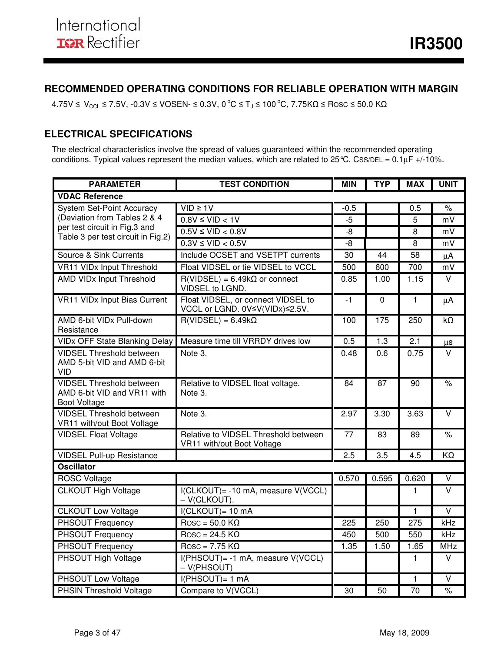## **RECOMMENDED OPERATING CONDITIONS FOR RELIABLE OPERATION WITH MARGIN**

 $4.75V \leq V_{\text{CCL}} \leq 7.5V$ ,  $-0.3V \leq VOSEN \leq 0.3V$ ,  $0^{\circ}C \leq T_J \leq 100^{\circ}C$ ,  $7.75K\Omega \leq Rosc \leq 50.0 K\Omega$ 

## **ELECTRICAL SPECIFICATIONS**

The electrical characteristics involve the spread of values guaranteed within the recommended operating conditions. Typical values represent the median values, which are related to  $25^{\circ}$ C. CSS/DEL =  $0.1 \mu$ F +/-10%.

| <b>PARAMETER</b>                                                                      | <b>TEST CONDITION</b>                                                | <b>MIN</b> | <b>TYP</b>  | <b>MAX</b>       | <b>UNIT</b>             |
|---------------------------------------------------------------------------------------|----------------------------------------------------------------------|------------|-------------|------------------|-------------------------|
| <b>VDAC Reference</b>                                                                 |                                                                      |            |             |                  |                         |
| <b>System Set-Point Accuracy</b>                                                      | $VID \geq 1V$                                                        | $-0.5$     |             | 0.5              | $\%$                    |
| (Deviation from Tables 2 & 4                                                          | $0.8V \leq VID < 1V$                                                 | $-5$       |             | 5                | mV                      |
| per test circuit in Fig.3 and<br>Table 3 per test circuit in Fig.2)                   | $0.5V \leq VID < 0.8V$                                               | $-8$       |             | 8                | mV                      |
|                                                                                       | $0.3V \leq VID < 0.5V$                                               | $-8$       |             | 8                | mV                      |
| Source & Sink Currents                                                                | Include OCSET and VSETPT currents                                    | 30         | 44          | 58               | μA                      |
| VR11 VIDx Input Threshold                                                             | Float VIDSEL or tie VIDSEL to VCCL                                   | 500        | 600         | 700              | mV                      |
| <b>AMD VIDx Input Threshold</b>                                                       | $R(VIDSEL) = 6.49k\Omega$ or connect<br>VIDSEL to LGND.              | 0.85       | 1.00        | 1.15             | $\vee$                  |
| <b>VR11 VIDx Input Bias Current</b>                                                   | Float VIDSEL, or connect VIDSEL to<br>VCCL or LGND. 0V≤V(VIDx)≤2.5V. | $-1$       | $\mathbf 0$ | $\mathbf{1}$     | $\mu$ A                 |
| AMD 6-bit VIDx Pull-down<br>Resistance                                                | $R(VIDSEL) = 6.49k\Omega$                                            | 100        | 175         | 250              | $k\Omega$               |
| <b>VIDx OFF State Blanking Delay</b>                                                  | Measure time till VRRDY drives low                                   | 0.5        | 1.3         | $\overline{2.1}$ | μs                      |
| <b>VIDSEL Threshold between</b><br>AMD 5-bit VID and AMD 6-bit<br>VID                 | Note 3.                                                              | 0.48       | 0.6         | 0.75             | V                       |
| <b>VIDSEL Threshold between</b><br>AMD 6-bit VID and VR11 with<br><b>Boot Voltage</b> | Relative to VIDSEL float voltage.<br>Note 3.                         |            | 87          | 90               | $\frac{1}{\sqrt{2}}$    |
| <b>VIDSEL Threshold between</b><br>VR11 with/out Boot Voltage                         | Note 3.                                                              | 2.97       | 3.30        | 3.63             | V                       |
| <b>VIDSEL Float Voltage</b>                                                           | Relative to VIDSEL Threshold between<br>VR11 with/out Boot Voltage   | 77         | 83          | 89               | $\frac{9}{6}$           |
| <b>VIDSEL Pull-up Resistance</b>                                                      |                                                                      | 2.5        | 3.5         | 4.5              | KΩ                      |
| <b>Oscillator</b>                                                                     |                                                                      |            |             |                  |                         |
| <b>ROSC Voltage</b>                                                                   |                                                                      | 0.570      | 0.595       | 0.620            | $\vee$                  |
| <b>CLKOUT High Voltage</b>                                                            | I(CLKOUT) = - 10 mA, measure V(VCCL)<br>- V(CLKOUT).                 |            |             | 1                | $\vee$                  |
| <b>CLKOUT Low Voltage</b>                                                             | I(CLKOUT)= 10 mA                                                     |            |             | $\mathbf{1}$     | $\overline{\mathsf{v}}$ |
| <b>PHSOUT Frequency</b>                                                               | $\text{Rosc} = 50.0 \text{ K}\Omega$                                 | 225        | 250         | $\overline{275}$ | kHz                     |
| <b>PHSOUT Frequency</b>                                                               | $\overline{R}$ Rosc = 24.5 K $\Omega$                                | 450        | 500         | 550              | kHz                     |
| PHSOUT Frequency                                                                      | $Rosc = 7.75 K\Omega$                                                | 1.35       | 1.50        | 1.65             | <b>MHz</b>              |
| PHSOUT High Voltage                                                                   | I(PHSOUT)= -1 mA, measure V(VCCL)<br>$-V(PHSOUT)$                    |            |             | 1                | V                       |
| PHSOUT Low Voltage                                                                    | $I(PHSOUT)= 1 mA$                                                    |            |             | 1                | $\vee$                  |
| <b>PHSIN Threshold Voltage</b>                                                        | Compare to V(VCCL)                                                   | 30         | 50          | 70               | $\%$                    |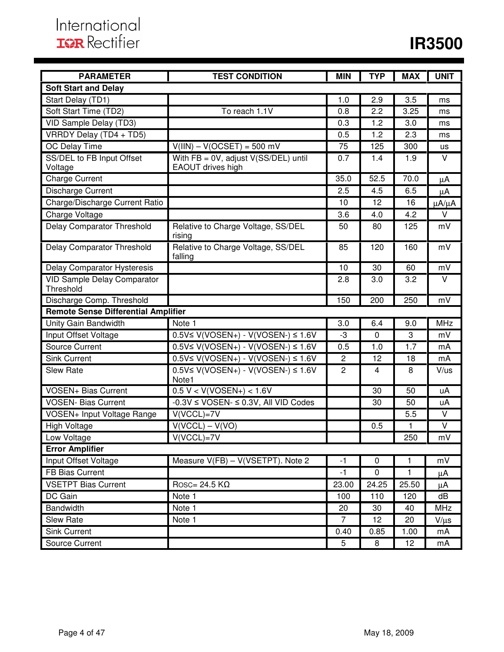| <b>PARAMETER</b>                                | <b>TEST CONDITION</b>                                | <b>MIN</b>     | <b>TYP</b>  | <b>MAX</b>   | <b>UNIT</b>   |
|-------------------------------------------------|------------------------------------------------------|----------------|-------------|--------------|---------------|
| <b>Soft Start and Delay</b>                     |                                                      |                |             |              |               |
| Start Delay (TD1)                               |                                                      | 1.0            | 2.9         | 3.5          | ms            |
| Soft Start Time (TD2)                           | To reach 1.1V                                        | 0.8            | 2.2         | 3.25         | ms            |
| VID Sample Delay (TD3)                          |                                                      | 0.3            | 1.2         | 3.0          | ms            |
| VRRDY Delay (TD4 + TD5)                         |                                                      | 0.5            | 1.2         | 2.3          | ms            |
| OC Delay Time                                   | $V(III) - V(OCSET) = 500$ mV                         | 75             | 125         | 300          | us            |
| SS/DEL to FB Input Offset                       | With $FB = 0V$ , adjust $V(SS/DEL)$ until            | 0.7            | 1.4         | 1.9          | $\vee$        |
| Voltage                                         | EAOUT drives high                                    |                |             |              |               |
| <b>Charge Current</b>                           |                                                      | 35.0           | 52.5        | 70.0         | $\mu$ A       |
| Discharge Current                               |                                                      | 2.5            | 4.5         | 6.5          | $\mu$ A       |
| Charge/Discharge Current Ratio                  |                                                      | 10             | 12          | 16           | $\mu A/\mu A$ |
| Charge Voltage                                  |                                                      | 3.6            | 4.0         | 4.2          | V             |
| <b>Delay Comparator Threshold</b>               | Relative to Charge Voltage, SS/DEL<br>rising         | 50             | 80          | 125          | mV            |
| Delay Comparator Threshold                      | Relative to Charge Voltage, SS/DEL<br>falling        | 85             | 120         | 160          | mV            |
| <b>Delay Comparator Hysteresis</b>              |                                                      | 10             | 30          | 60           | mV            |
| <b>VID Sample Delay Comparator</b><br>Threshold |                                                      | 2.8            | 3.0         | 3.2          | V             |
| Discharge Comp. Threshold                       |                                                      | 150            | 200         | 250          | mV            |
| <b>Remote Sense Differential Amplifier</b>      |                                                      |                |             |              |               |
| Unity Gain Bandwidth                            | Note 1                                               | 3.0            | 6.4         | 9.0          | <b>MHz</b>    |
| Input Offset Voltage                            | $0.5V \le V(VOSEN+) - V(VOSEN-) \le 1.6V$            | -3             | $\mathbf 0$ | 3            | mV            |
| <b>Source Current</b>                           | $0.5V$ ≤ V(VOSEN+) - V(VOSEN-) ≤ 1.6V                | 0.5            | 1.0         | 1.7          | mA            |
| <b>Sink Current</b>                             | $0.5V \le V(VOSEN+) - V(VOSEN-) \le 1.6V$            | 2              | 12          | 18           | mA            |
| <b>Slew Rate</b>                                | $0.5V$ ≤ V(VOSEN+) - V(VOSEN-) ≤ 1.6V<br>Note1       | $\overline{c}$ | 4           | 8            | V/us          |
| <b>VOSEN+ Bias Current</b>                      | $0.5 V < V(VOSEN+) < 1.6 V$                          |                | 30          | 50           | uA            |
| <b>VOSEN- Bias Current</b>                      | $-0.3V \leq \text{VOSEN-} \leq 0.3V$ , All VID Codes |                | 30          | 50           | uA            |
| VOSEN+ Input Voltage Range                      | $V(VCCL)=7V$                                         |                |             | 5.5          | $\vee$        |
| <b>High Voltage</b>                             | $V(VCCL) - V(VO)$                                    |                | 0.5         | 1            | $\vee$        |
| Low Voltage                                     | $V(VCCL)=7V$                                         |                |             | 250          | mV            |
| <b>Error Amplifier</b>                          |                                                      |                |             |              |               |
| Input Offset Voltage                            | Measure V(FB) - V(VSETPT). Note 2                    | $-1$           | 0           | $\mathbf{1}$ | mV            |
| FB Bias Current                                 |                                                      | $-1$           | $\mathbf 0$ | 1            | μA            |
| <b>VSETPT Bias Current</b>                      | Rosc= 24.5 $K\Omega$                                 | 23.00          | 24.25       | 25.50        | $\mu$ A       |
| DC Gain                                         | Note 1                                               | 100            | 110         | 120          | dB            |
| <b>Bandwidth</b>                                | Note 1                                               | 20             | 30          | 40           | MHz           |
| Slew Rate                                       | Note 1                                               | 7              | 12          | 20           | $V/\mu s$     |
| <b>Sink Current</b>                             |                                                      | 0.40           | 0.85        | 1.00         | mA            |
| Source Current                                  |                                                      | 5              | 8           | 12           | mA            |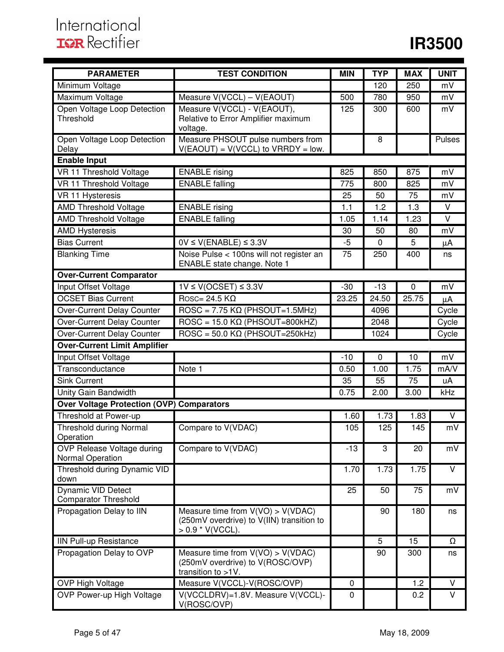| <b>PARAMETER</b>                                         | <b>TEST CONDITION</b>                                                                                  | <b>MIN</b> | <b>TYP</b>  | <b>MAX</b> | <b>UNIT</b>             |
|----------------------------------------------------------|--------------------------------------------------------------------------------------------------------|------------|-------------|------------|-------------------------|
| Minimum Voltage                                          |                                                                                                        |            | 120         | 250        | mV                      |
| Maximum Voltage                                          | Measure V(VCCL) - V(EAOUT)                                                                             | 500        | 780         | 950        | mV                      |
| Open Voltage Loop Detection<br>Threshold                 | Measure V(VCCL) - V(EAOUT),<br>Relative to Error Amplifier maximum<br>voltage.                         | 125        | 300         | 600        | mV                      |
| Open Voltage Loop Detection<br>Delay                     | Measure PHSOUT pulse numbers from<br>$V(EAOUT) = V(VCCL)$ to $VRRDY = low$ .                           |            | 8           |            | Pulses                  |
| <b>Enable Input</b>                                      |                                                                                                        |            |             |            |                         |
| VR 11 Threshold Voltage                                  | <b>ENABLE</b> rising                                                                                   | 825        | 850         | 875        | mV                      |
| VR 11 Threshold Voltage                                  | <b>ENABLE</b> falling                                                                                  | 775        | 800         | 825        | mV                      |
| VR 11 Hysteresis                                         |                                                                                                        | 25         | 50          | 75         | mV                      |
| <b>AMD Threshold Voltage</b>                             | <b>ENABLE</b> rising                                                                                   | 1.1        | 1.2         | 1.3        | $\vee$                  |
| <b>AMD Threshold Voltage</b>                             | <b>ENABLE</b> falling                                                                                  | 1.05       | 1.14        | 1.23       | $\overline{\mathsf{v}}$ |
| <b>AMD Hysteresis</b>                                    |                                                                                                        | 30         | 50          | 80         | mV                      |
| <b>Bias Current</b>                                      | $0V \le V(ENABLE) \le 3.3V$                                                                            | $-5$       | 0           | 5          | μA                      |
| <b>Blanking Time</b>                                     | Noise Pulse < 100ns will not register an<br>ENABLE state change. Note 1                                | 75         | 250         | 400        | ns                      |
| <b>Over-Current Comparator</b>                           |                                                                                                        |            |             |            |                         |
| Input Offset Voltage                                     | $1V \le V(OCSET) \le 3.3V$                                                                             | $-30$      | $-13$       | 0          | mV                      |
| <b>OCSET Bias Current</b>                                | $\overline{R}$ OSC= 24.5 K $\Omega$                                                                    | 23.25      | 24.50       | 25.75      | μA                      |
| Over-Current Delay Counter                               | $\text{ROSC} = 7.75 \text{ K}\Omega$ (PHSOUT=1.5MHz)                                                   |            | 4096        |            | Cycle                   |
| Over-Current Delay Counter                               | $\text{ROSC} = 15.0 \text{ K}\Omega \text{ (PHSOUT=800kHz)}$                                           |            | 2048        |            | Cycle                   |
| Over-Current Delay Counter                               | $\overline{ROSC} = 50.0 \text{ K}\Omega \text{ (PHSOUT=250kHz)}$                                       |            | 1024        |            | Cycle                   |
| <b>Over-Current Limit Amplifier</b>                      |                                                                                                        |            |             |            |                         |
| Input Offset Voltage                                     |                                                                                                        | $-10$      | $\mathbf 0$ | 10         | mV                      |
| Transconductance                                         | Note 1                                                                                                 | 0.50       | 1.00        | 1.75       | mA/V                    |
| <b>Sink Current</b>                                      |                                                                                                        | 35         | 55          | 75         | uA                      |
| <b>Unity Gain Bandwidth</b>                              |                                                                                                        | 0.75       | 2.00        | 3.00       | kHz                     |
| <b>Over Voltage Protection (OVP) Comparators</b>         |                                                                                                        |            |             |            |                         |
| Threshold at Power-up                                    |                                                                                                        | 1.60       | 1.73        | 1.83       | $\vee$                  |
| <b>Threshold during Normal</b><br>Operation              | Compare to V(VDAC)                                                                                     | 105        | 125         | 145        | mV                      |
| OVP Release Voltage during<br>Normal Operation           | Compare to V(VDAC)                                                                                     | $-13$      | 3           | 20         | mV                      |
| Threshold during Dynamic VID<br>down                     |                                                                                                        | 1.70       | 1.73        | 1.75       | V                       |
| <b>Dynamic VID Detect</b><br><b>Comparator Threshold</b> |                                                                                                        | 25         | 50          | 75         | mV                      |
| Propagation Delay to IIN                                 | Measure time from $V(VO) > V(VDAC)$<br>(250mV overdrive) to V(IIN) transition to<br>$> 0.9$ * V(VCCL). |            | 90          | 180        | ns                      |
| <b>IIN Pull-up Resistance</b>                            |                                                                                                        |            | 5           | 15         | Ω                       |
| Propagation Delay to OVP                                 | Measure time from $V(VO) > V(VDAC)$<br>(250mV overdrive) to V(ROSC/OVP)<br>transition to >1V.          |            | 90          | 300        | ns                      |
| <b>OVP High Voltage</b>                                  | Measure V(VCCL)-V(ROSC/OVP)                                                                            | 0          |             | 1.2        | V                       |
| OVP Power-up High Voltage                                | V(VCCLDRV)=1.8V. Measure V(VCCL)-<br>V(ROSC/OVP)                                                       | 0          |             | 0.2        | $\vee$                  |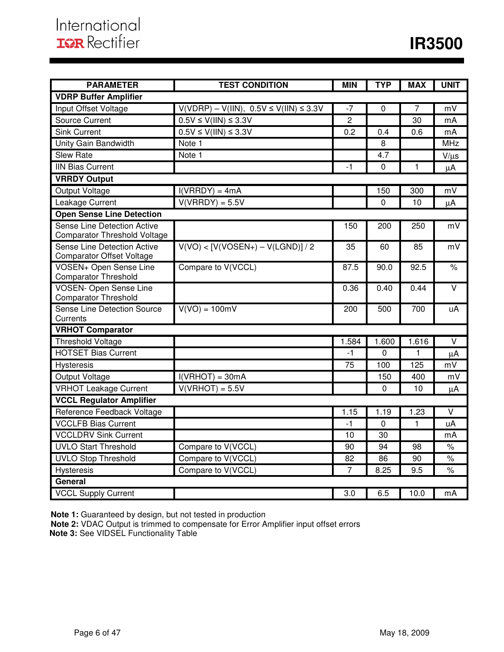| <b>PARAMETER</b>                                                   | <b>TEST CONDITION</b>                          | <b>MIN</b>     | <b>TYP</b> | <b>MAX</b>      | <b>UNIT</b>          |
|--------------------------------------------------------------------|------------------------------------------------|----------------|------------|-----------------|----------------------|
| <b>VDRP Buffer Amplifier</b>                                       |                                                |                |            |                 |                      |
| Input Offset Voltage                                               | $V(VDRP) - V(1IN), 0.5V \leq V(1IN) \leq 3.3V$ | $-7$           | $\Omega$   | $\overline{7}$  | mV                   |
| Source Current                                                     | $0.5V \le V(1IN) \le 3.3V$                     | $\overline{2}$ |            | $\overline{30}$ | mA                   |
| <b>Sink Current</b>                                                | $0.5V \le V(III) \le 3.3V$                     | 0.2            | 0.4        | 0.6             | mA                   |
| Unity Gain Bandwidth                                               | Note 1                                         |                | 8          |                 | <b>MHz</b>           |
| <b>Slew Rate</b>                                                   | Note 1                                         |                | 4.7        |                 | $V/\mu s$            |
| <b>IIN Bias Current</b>                                            |                                                | $-1$           | 0          | $\mathbf{1}$    | μA                   |
| <b>VRRDY Output</b>                                                |                                                |                |            |                 |                      |
| Output Voltage                                                     | $I(VRRDY) = 4mA$                               |                | 150        | 300             | mV                   |
| Leakage Current                                                    | $V(VRRDY) = 5.5V$                              |                | 0          | 10              | μA                   |
| <b>Open Sense Line Detection</b>                                   |                                                |                |            |                 |                      |
| Sense Line Detection Active<br><b>Comparator Threshold Voltage</b> |                                                | 150            | 200        | 250             | mV                   |
| Sense Line Detection Active<br><b>Comparator Offset Voltage</b>    | $V(VO) < [V(VOSEN+) - V(LGND)] / 2$            | 35             | 60         | 85              | mV                   |
| VOSEN+ Open Sense Line<br><b>Comparator Threshold</b>              | Compare to V(VCCL)                             | 87.5           | 90.0       | 92.5            | $\%$                 |
| <b>VOSEN- Open Sense Line</b><br><b>Comparator Threshold</b>       |                                                | 0.36           | 0.40       | 0.44            | $\overline{\vee}$    |
| Sense Line Detection Source<br>Currents                            | $V(VO) = 100mV$                                | 200            | 500        | 700             | uA                   |
| <b>VRHOT Comparator</b>                                            |                                                |                |            |                 |                      |
| <b>Threshold Voltage</b>                                           |                                                | 1.584          | 1.600      | 1.616           | $\vee$               |
| <b>HOTSET Bias Current</b>                                         |                                                | $-1$           | $\Omega$   | $\mathbf{1}$    | $\mu$ A              |
| Hysteresis                                                         |                                                | 75             | 100        | 125             | mV                   |
| Output Voltage                                                     | $I(VRHOT) = 30mA$                              |                | 150        | 400             | mV                   |
| <b>VRHOT Leakage Current</b>                                       | $V(VRHOT) = 5.5V$                              |                | 0          | 10              | μA                   |
| <b>VCCL Regulator Amplifier</b>                                    |                                                |                |            |                 |                      |
| Reference Feedback Voltage                                         |                                                | 1.15           | 1.19       | 1.23            | $\vee$               |
| <b>VCCLFB Bias Current</b>                                         |                                                | $-1$           | 0          | $\mathbf{1}$    | uA                   |
| <b>VCCLDRV Sink Current</b>                                        |                                                | 10             | 30         |                 | mA                   |
| <b>UVLO Start Threshold</b>                                        | Compare to V(VCCL)                             | 90             | 94         | 98              | $\frac{1}{\sqrt{2}}$ |
| <b>UVLO Stop Threshold</b>                                         | Compare to V(VCCL)                             | 82             | 86         | 90              | $\%$                 |
| Hysteresis                                                         | Compare to V(VCCL)                             | $\overline{7}$ | 8.25       | 9.5             | $\frac{1}{\sqrt{2}}$ |
| General                                                            |                                                |                |            |                 |                      |
| <b>VCCL Supply Current</b>                                         |                                                | 3.0            | 6.5        | 10.0            | mA                   |

**Note 1:** Guaranteed by design, but not tested in production

**Note 2:** VDAC Output is trimmed to compensate for Error Amplifier input offset errors  **Note 3:** See VIDSEL Functionality Table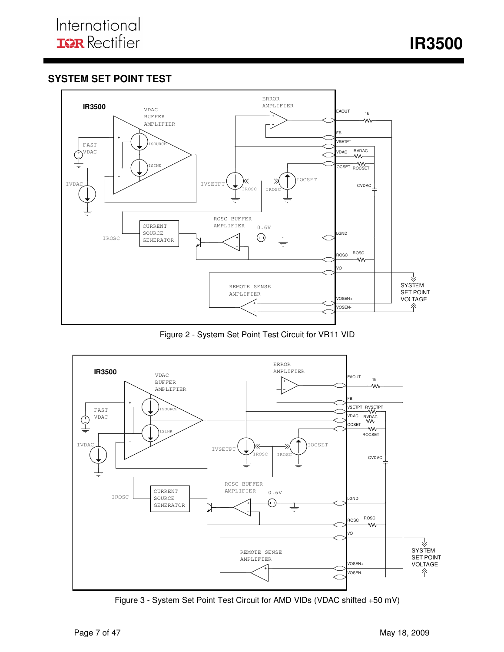**IR3500** 

## **SYSTEM SET POINT TEST**



Figure 2 - System Set Point Test Circuit for VR11 VID



Figure 3 - System Set Point Test Circuit for AMD VIDs (VDAC shifted +50 mV)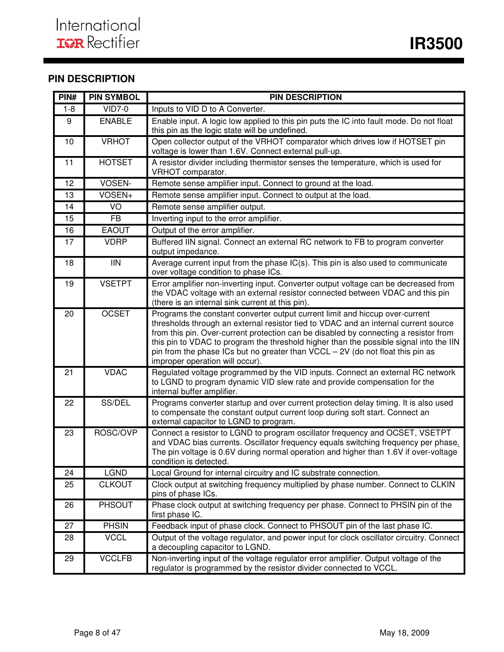## **PIN DESCRIPTION**

| PIN#            | <b>PIN SYMBOL</b>        | <b>PIN DESCRIPTION</b>                                                                                                                                                                                                                                                                                                                                                                                                                                                     |
|-----------------|--------------------------|----------------------------------------------------------------------------------------------------------------------------------------------------------------------------------------------------------------------------------------------------------------------------------------------------------------------------------------------------------------------------------------------------------------------------------------------------------------------------|
| $1 - 8$         | $VID7-0$                 | Inputs to VID D to A Converter.                                                                                                                                                                                                                                                                                                                                                                                                                                            |
| 9               | <b>ENABLE</b>            | Enable input. A logic low applied to this pin puts the IC into fault mode. Do not float<br>this pin as the logic state will be undefined.                                                                                                                                                                                                                                                                                                                                  |
| 10              | <b>VRHOT</b>             | Open collector output of the VRHOT comparator which drives low if HOTSET pin<br>voltage is lower than 1.6V. Connect external pull-up.                                                                                                                                                                                                                                                                                                                                      |
| 11              | <b>HOTSET</b>            | A resistor divider including thermistor senses the temperature, which is used for<br>VRHOT comparator.                                                                                                                                                                                                                                                                                                                                                                     |
| 12              | VOSEN-                   | Remote sense amplifier input. Connect to ground at the load.                                                                                                                                                                                                                                                                                                                                                                                                               |
| 13              | VOSEN+                   | Remote sense amplifier input. Connect to output at the load.                                                                                                                                                                                                                                                                                                                                                                                                               |
| 14              | $\overline{SO}$          | Remote sense amplifier output.                                                                                                                                                                                                                                                                                                                                                                                                                                             |
| 15              | <b>FB</b>                | Inverting input to the error amplifier.                                                                                                                                                                                                                                                                                                                                                                                                                                    |
| 16              | <b>EAOUT</b>             | Output of the error amplifier.                                                                                                                                                                                                                                                                                                                                                                                                                                             |
| 17              | <b>VDRP</b>              | Buffered IIN signal. Connect an external RC network to FB to program converter<br>output impedance.                                                                                                                                                                                                                                                                                                                                                                        |
| $\overline{18}$ | $\overline{\mathsf{IN}}$ | Average current input from the phase IC(s). This pin is also used to communicate<br>over voltage condition to phase ICs.                                                                                                                                                                                                                                                                                                                                                   |
| 19              | <b>VSETPT</b>            | Error amplifier non-inverting input. Converter output voltage can be decreased from<br>the VDAC voltage with an external resistor connected between VDAC and this pin<br>(there is an internal sink current at this pin).                                                                                                                                                                                                                                                  |
| 20              | <b>OCSET</b>             | Programs the constant converter output current limit and hiccup over-current<br>thresholds through an external resistor tied to VDAC and an internal current source<br>from this pin. Over-current protection can be disabled by connecting a resistor from<br>this pin to VDAC to program the threshold higher than the possible signal into the IIN<br>pin from the phase ICs but no greater than VCCL - 2V (do not float this pin as<br>improper operation will occur). |
| 21              | <b>VDAC</b>              | Regulated voltage programmed by the VID inputs. Connect an external RC network<br>to LGND to program dynamic VID slew rate and provide compensation for the<br>internal buffer amplifier.                                                                                                                                                                                                                                                                                  |
| 22              | SS/DEL                   | Programs converter startup and over current protection delay timing. It is also used<br>to compensate the constant output current loop during soft start. Connect an<br>external capacitor to LGND to program.                                                                                                                                                                                                                                                             |
| 23              | ROSC/OVP                 | Connect a resistor to LGND to program oscillator frequency and OCSET, VSETPT<br>and VDAC bias currents. Oscillator frequency equals switching frequency per phase.<br>The pin voltage is 0.6V during normal operation and higher than 1.6V if over-voltage<br>condition is detected.                                                                                                                                                                                       |
| 24              | <b>LGND</b>              | Local Ground for internal circuitry and IC substrate connection.                                                                                                                                                                                                                                                                                                                                                                                                           |
| 25              | <b>CLKOUT</b>            | Clock output at switching frequency multiplied by phase number. Connect to CLKIN<br>pins of phase ICs.                                                                                                                                                                                                                                                                                                                                                                     |
| 26              | PHSOUT                   | Phase clock output at switching frequency per phase. Connect to PHSIN pin of the<br>first phase IC.                                                                                                                                                                                                                                                                                                                                                                        |
| 27              | <b>PHSIN</b>             | Feedback input of phase clock. Connect to PHSOUT pin of the last phase IC.                                                                                                                                                                                                                                                                                                                                                                                                 |
| 28              | <b>VCCL</b>              | Output of the voltage regulator, and power input for clock oscillator circuitry. Connect<br>a decoupling capacitor to LGND.                                                                                                                                                                                                                                                                                                                                                |
| 29              | <b>VCCLFB</b>            | Non-inverting input of the voltage regulator error amplifier. Output voltage of the<br>regulator is programmed by the resistor divider connected to VCCL.                                                                                                                                                                                                                                                                                                                  |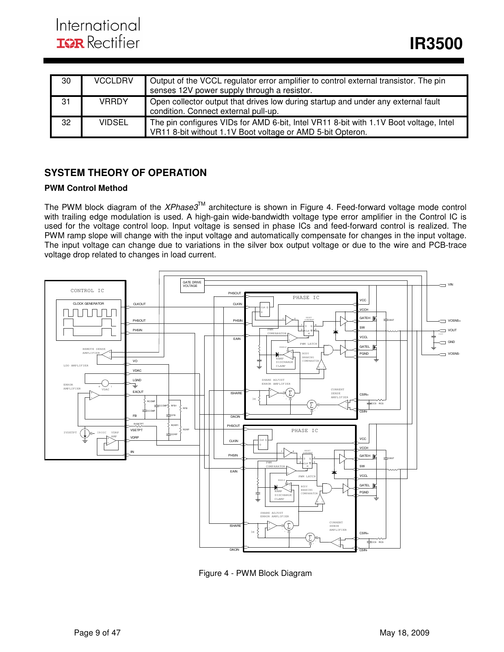| 30 | <b>VCCLDRV</b> | Output of the VCCL regulator error amplifier to control external transistor. The pin<br>senses 12V power supply through a resistor.                 |
|----|----------------|-----------------------------------------------------------------------------------------------------------------------------------------------------|
| 31 | <b>VRRDY</b>   | Open collector output that drives low during startup and under any external fault<br>condition. Connect external pull-up.                           |
| 32 | <b>VIDSEL</b>  | The pin configures VIDs for AMD 6-bit, Intel VR11 8-bit with 1.1V Boot voltage, Intel<br>VR11 8-bit without 1.1V Boot voltage or AMD 5-bit Opteron. |

## **SYSTEM THEORY OF OPERATION**

### **PWM Control Method**

The PWM block diagram of the XPhase3™ architecture is shown in Figure 4. Feed-forward voltage mode control with trailing edge modulation is used. A high-gain wide-bandwidth voltage type error amplifier in the Control IC is used for the voltage control loop. Input voltage is sensed in phase ICs and feed-forward control is realized. The PWM ramp slope will change with the input voltage and automatically compensate for changes in the input voltage. The input voltage can change due to variations in the silver box output voltage or due to the wire and PCB-trace voltage drop related to changes in load current.



Figure 4 - PWM Block Diagram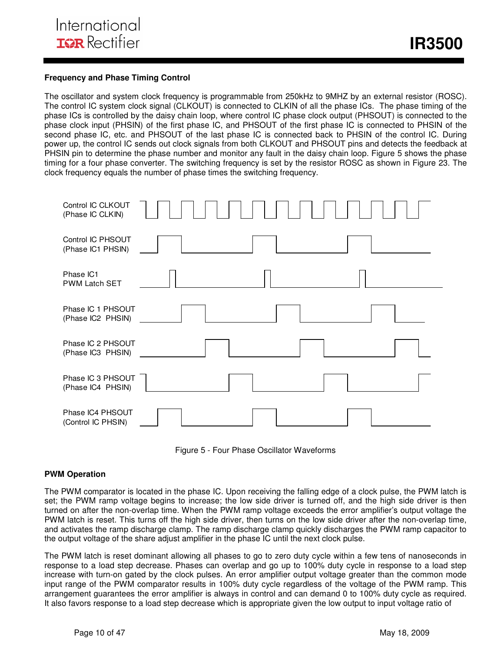### **Frequency and Phase Timing Control**

The oscillator and system clock frequency is programmable from 250kHz to 9MHZ by an external resistor (ROSC). The control IC system clock signal (CLKOUT) is connected to CLKIN of all the phase ICs. The phase timing of the phase ICs is controlled by the daisy chain loop, where control IC phase clock output (PHSOUT) is connected to the phase clock input (PHSIN) of the first phase IC, and PHSOUT of the first phase IC is connected to PHSIN of the second phase IC, etc. and PHSOUT of the last phase IC is connected back to PHSIN of the control IC. During power up, the control IC sends out clock signals from both CLKOUT and PHSOUT pins and detects the feedback at PHSIN pin to determine the phase number and monitor any fault in the daisy chain loop. Figure 5 shows the phase timing for a four phase converter. The switching frequency is set by the resistor ROSC as shown in Figure 23. The clock frequency equals the number of phase times the switching frequency.





#### **PWM Operation**

The PWM comparator is located in the phase IC. Upon receiving the falling edge of a clock pulse, the PWM latch is set; the PWM ramp voltage begins to increase; the low side driver is turned off, and the high side driver is then turned on after the non-overlap time. When the PWM ramp voltage exceeds the error amplifier's output voltage the PWM latch is reset. This turns off the high side driver, then turns on the low side driver after the non-overlap time, and activates the ramp discharge clamp. The ramp discharge clamp quickly discharges the PWM ramp capacitor to the output voltage of the share adjust amplifier in the phase IC until the next clock pulse.

The PWM latch is reset dominant allowing all phases to go to zero duty cycle within a few tens of nanoseconds in response to a load step decrease. Phases can overlap and go up to 100% duty cycle in response to a load step increase with turn-on gated by the clock pulses. An error amplifier output voltage greater than the common mode input range of the PWM comparator results in 100% duty cycle regardless of the voltage of the PWM ramp. This arrangement guarantees the error amplifier is always in control and can demand 0 to 100% duty cycle as required. It also favors response to a load step decrease which is appropriate given the low output to input voltage ratio of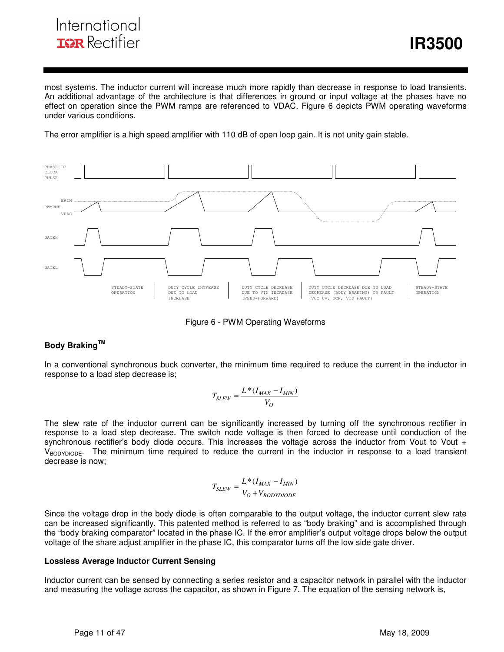## International **ISR** Rectifier

most systems. The inductor current will increase much more rapidly than decrease in response to load transients. An additional advantage of the architecture is that differences in ground or input voltage at the phases have no effect on operation since the PWM ramps are referenced to VDAC. Figure 6 depicts PWM operating waveforms under various conditions.

i

The error amplifier is a high speed amplifier with 110 dB of open loop gain. It is not unity gain stable.



Figure 6 - PWM Operating Waveforms

### **Body BrakingTM**

In a conventional synchronous buck converter, the minimum time required to reduce the current in the inductor in response to a load step decrease is;

$$
T_{SLEW} = \frac{L^*(I_{MAX} - I_{MIN})}{V_O}
$$

The slew rate of the inductor current can be significantly increased by turning off the synchronous rectifier in response to a load step decrease. The switch node voltage is then forced to decrease until conduction of the synchronous rectifier's body diode occurs. This increases the voltage across the inductor from Vout to Vout +  $V_{\text{BODYDIODE}}$ . The minimum time required to reduce the current in the inductor in response to a load transient decrease is now;

$$
T_{SLEW} = \frac{L^*(I_{MAX} - I_{MIN})}{V_O + V_{BODYDDODE}}
$$

Since the voltage drop in the body diode is often comparable to the output voltage, the inductor current slew rate can be increased significantly. This patented method is referred to as "body braking" and is accomplished through the "body braking comparator" located in the phase IC. If the error amplifier's output voltage drops below the output voltage of the share adjust amplifier in the phase IC, this comparator turns off the low side gate driver.

#### **Lossless Average Inductor Current Sensing**

Inductor current can be sensed by connecting a series resistor and a capacitor network in parallel with the inductor and measuring the voltage across the capacitor, as shown in Figure 7. The equation of the sensing network is,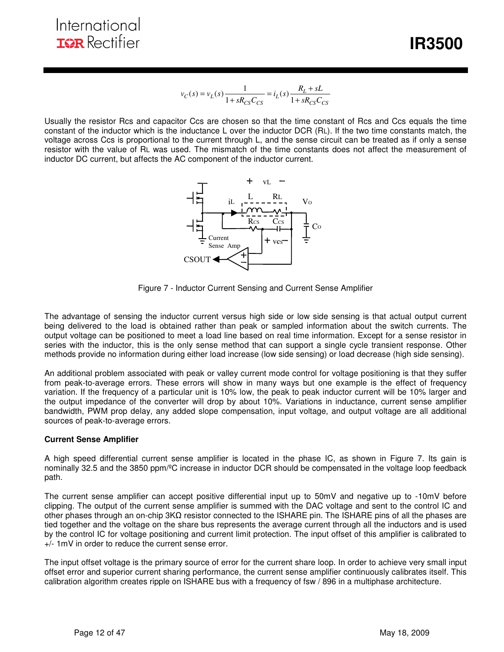*<u><b>IR3500*</u>

$$
v_C(s) = v_L(s) \frac{1}{1 + sR_{CS}C_{CS}} = i_L(s) \frac{R_L + sL}{1 + sR_{CS}C_{CS}}
$$

i

Usually the resistor Rcs and capacitor Ccs are chosen so that the time constant of Rcs and Ccs equals the time constant of the inductor which is the inductance L over the inductor DCR (RL). If the two time constants match, the voltage across Ccs is proportional to the current through L, and the sense circuit can be treated as if only a sense resistor with the value of RL was used. The mismatch of the time constants does not affect the measurement of inductor DC current, but affects the AC component of the inductor current.



Figure 7 - Inductor Current Sensing and Current Sense Amplifier

The advantage of sensing the inductor current versus high side or low side sensing is that actual output current being delivered to the load is obtained rather than peak or sampled information about the switch currents. The output voltage can be positioned to meet a load line based on real time information. Except for a sense resistor in series with the inductor, this is the only sense method that can support a single cycle transient response. Other methods provide no information during either load increase (low side sensing) or load decrease (high side sensing).

An additional problem associated with peak or valley current mode control for voltage positioning is that they suffer from peak-to-average errors. These errors will show in many ways but one example is the effect of frequency variation. If the frequency of a particular unit is 10% low, the peak to peak inductor current will be 10% larger and the output impedance of the converter will drop by about 10%. Variations in inductance, current sense amplifier bandwidth, PWM prop delay, any added slope compensation, input voltage, and output voltage are all additional sources of peak-to-average errors.

#### **Current Sense Amplifier**

A high speed differential current sense amplifier is located in the phase IC, as shown in Figure 7. Its gain is nominally 32.5 and the 3850 ppm/ºC increase in inductor DCR should be compensated in the voltage loop feedback path.

The current sense amplifier can accept positive differential input up to 50mV and negative up to -10mV before clipping. The output of the current sense amplifier is summed with the DAC voltage and sent to the control IC and other phases through an on-chip 3KΩ resistor connected to the ISHARE pin. The ISHARE pins of all the phases are tied together and the voltage on the share bus represents the average current through all the inductors and is used by the control IC for voltage positioning and current limit protection. The input offset of this amplifier is calibrated to +/- 1mV in order to reduce the current sense error.

The input offset voltage is the primary source of error for the current share loop. In order to achieve very small input offset error and superior current sharing performance, the current sense amplifier continuously calibrates itself. This calibration algorithm creates ripple on ISHARE bus with a frequency of fsw / 896 in a multiphase architecture.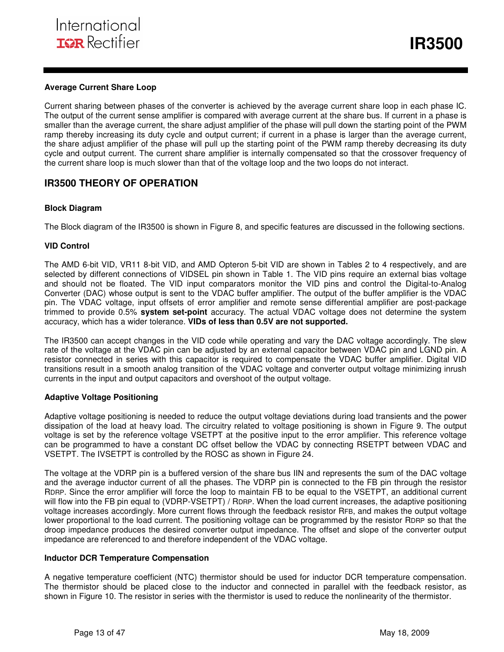#### **Average Current Share Loop**

Current sharing between phases of the converter is achieved by the average current share loop in each phase IC. The output of the current sense amplifier is compared with average current at the share bus. If current in a phase is smaller than the average current, the share adjust amplifier of the phase will pull down the starting point of the PWM ramp thereby increasing its duty cycle and output current; if current in a phase is larger than the average current, the share adjust amplifier of the phase will pull up the starting point of the PWM ramp thereby decreasing its duty cycle and output current. The current share amplifier is internally compensated so that the crossover frequency of the current share loop is much slower than that of the voltage loop and the two loops do not interact.

i

### **IR3500 THEORY OF OPERATION**

#### **Block Diagram**

The Block diagram of the IR3500 is shown in Figure 8, and specific features are discussed in the following sections.

#### **VID Control**

The AMD 6-bit VID, VR11 8-bit VID, and AMD Opteron 5-bit VID are shown in Tables 2 to 4 respectively, and are selected by different connections of VIDSEL pin shown in Table 1. The VID pins require an external bias voltage and should not be floated. The VID input comparators monitor the VID pins and control the Digital-to-Analog Converter (DAC) whose output is sent to the VDAC buffer amplifier. The output of the buffer amplifier is the VDAC pin. The VDAC voltage, input offsets of error amplifier and remote sense differential amplifier are post-package trimmed to provide 0.5% **system set-point** accuracy. The actual VDAC voltage does not determine the system accuracy, which has a wider tolerance. **VIDs of less than 0.5V are not supported.** 

The IR3500 can accept changes in the VID code while operating and vary the DAC voltage accordingly. The slew rate of the voltage at the VDAC pin can be adjusted by an external capacitor between VDAC pin and LGND pin. A resistor connected in series with this capacitor is required to compensate the VDAC buffer amplifier. Digital VID transitions result in a smooth analog transition of the VDAC voltage and converter output voltage minimizing inrush currents in the input and output capacitors and overshoot of the output voltage.

#### **Adaptive Voltage Positioning**

Adaptive voltage positioning is needed to reduce the output voltage deviations during load transients and the power dissipation of the load at heavy load. The circuitry related to voltage positioning is shown in Figure 9. The output voltage is set by the reference voltage VSETPT at the positive input to the error amplifier. This reference voltage can be programmed to have a constant DC offset bellow the VDAC by connecting RSETPT between VDAC and VSETPT. The IVSETPT is controlled by the ROSC as shown in Figure 24.

The voltage at the VDRP pin is a buffered version of the share bus IIN and represents the sum of the DAC voltage and the average inductor current of all the phases. The VDRP pin is connected to the FB pin through the resistor RDRP. Since the error amplifier will force the loop to maintain FB to be equal to the VSETPT, an additional current will flow into the FB pin equal to (VDRP-VSETPT) / RDRP. When the load current increases, the adaptive positioning voltage increases accordingly. More current flows through the feedback resistor RFB, and makes the output voltage lower proportional to the load current. The positioning voltage can be programmed by the resistor RDRP so that the droop impedance produces the desired converter output impedance. The offset and slope of the converter output impedance are referenced to and therefore independent of the VDAC voltage.

#### **Inductor DCR Temperature Compensation**

A negative temperature coefficient (NTC) thermistor should be used for inductor DCR temperature compensation. The thermistor should be placed close to the inductor and connected in parallel with the feedback resistor, as shown in Figure 10. The resistor in series with the thermistor is used to reduce the nonlinearity of the thermistor.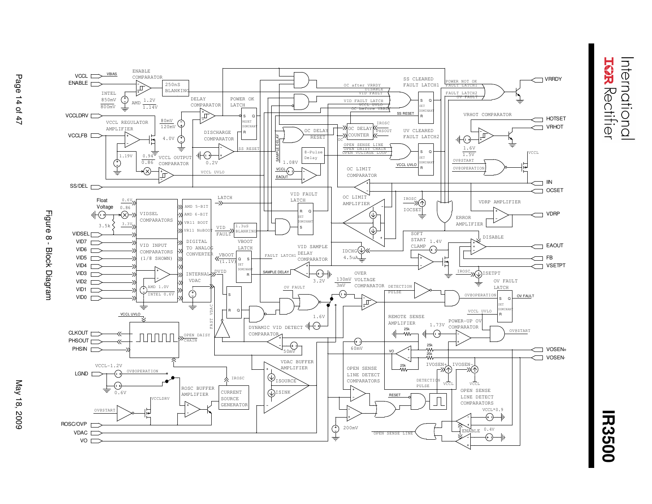**TGR** Rectifier nternationa



a sa n

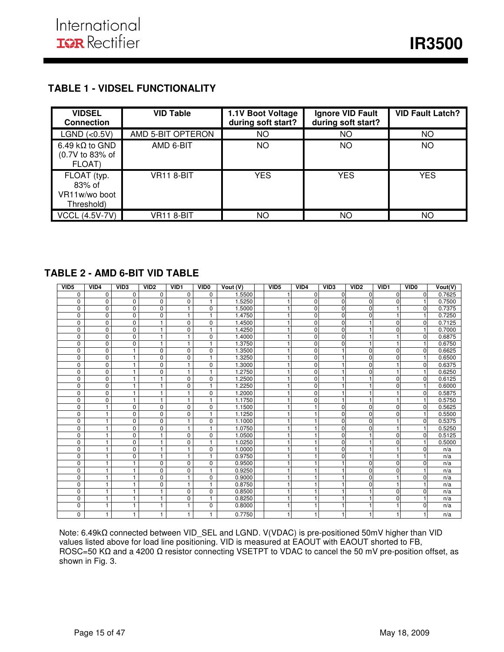## **TABLE 1 - VIDSEL FUNCTIONALITY**

| <b>VIDSEL</b><br><b>Connection</b>                         | <b>VID Table</b>  | 1.1V Boot Voltage<br>during soft start? | Ignore VID Fault<br>during soft start? | <b>VID Fault Latch?</b> |
|------------------------------------------------------------|-------------------|-----------------------------------------|----------------------------------------|-------------------------|
| LGND (<0.5V)                                               | AMD 5-BIT OPTERON | ΝO                                      | ΝO                                     | NO                      |
| 6.49 k $\Omega$ to GND<br>(0.7V to 83% of<br><b>FLOAT)</b> | AMD 6-BIT         | ΝO                                      | ΝO                                     | NO.                     |
| FLOAT (typ.<br>83% of<br>VR11w/wo boot<br>Threshold)       | VR11 8-BIT        | <b>YES</b>                              | <b>YES</b>                             | <b>YES</b>              |
| <b>VCCL (4.5V-7V)</b>                                      | VR11 8-BIT        | ΝO                                      | ΝO                                     | ΝO                      |

I

## **TABLE 2 - AMD 6-BIT VID TABLE**

| VID <sub>5</sub> | VID4         | VID <sub>3</sub> | VID <sub>2</sub> | VID <sub>1</sub> | VID <sub>0</sub> | Vout (V) | VID <sub>5</sub> | VID4        | VID <sub>3</sub> | VID <sub>2</sub> | VID <sub>1</sub> | VID <sub>0</sub> | Vout(V) |
|------------------|--------------|------------------|------------------|------------------|------------------|----------|------------------|-------------|------------------|------------------|------------------|------------------|---------|
| $\Omega$         | 0            | 0                | 0                | 0                | 0                | 1.5500   |                  | $\Omega$    | $\Omega$         | $\Omega$         | $\Omega$         | $\Omega$         | 0.7625  |
| $\Omega$         | $\mathbf 0$  | 0                | $\mathbf 0$      | 0                | 1                | 1.5250   |                  | $\Omega$    | $\Omega$         | $\Omega$         | $\Omega$         |                  | 0.7500  |
| 0                | $\mathbf 0$  | 0                | $\mathbf 0$      | $\mathbf{1}$     | 0                | 1.5000   |                  | $\Omega$    | $\Omega$         | <sup>0</sup>     |                  | $\Omega$         | 0.7375  |
| 0                | $\mathbf 0$  | 0                | $\mathbf 0$      | 1                | 1                | 1.4750   |                  | $\Omega$    | $\Omega$         | <sup>0</sup>     |                  |                  | 0.7250  |
| 0                | $\Omega$     | 0                | 1                | $\mathbf 0$      | 0                | 1.4500   |                  | $\Omega$    | $\Omega$         |                  | $\Omega$         | $\Omega$         | 0.7125  |
| 0                | $\mathbf 0$  | 0                | 1                | $\mathbf{0}$     | 1                | 1.4250   |                  | $\Omega$    | $\Omega$         |                  | $\Omega$         |                  | 0.7000  |
| 0                | $\mathbf 0$  | 0                | $\mathbf{1}$     | $\mathbf{1}$     | 0                | 1.4000   |                  | $\Omega$    | $\Omega$         |                  |                  | $\Omega$         | 0.6875  |
| 0                | $\mathbf 0$  | 0                | $\mathbf{1}$     | 1                | 1                | 1.3750   |                  | 0           | $\Omega$         |                  |                  |                  | 0.6750  |
| 0                | $\mathbf 0$  | 1                | $\mathbf 0$      | $\mathbf 0$      | $\mathbf 0$      | 1.3500   |                  | $\Omega$    |                  | $\Omega$         | $\Omega$         | $\Omega$         | 0.6625  |
| 0                | $\mathbf 0$  | 1                | $\mathbf 0$      | $\mathbf{0}$     | 1                | 1.3250   |                  | $\Omega$    |                  | $\Omega$         | $\Omega$         |                  | 0.6500  |
| 0                | $\mathbf 0$  | 1                | $\mathbf 0$      | 1                | 0                | 1.3000   |                  | $\Omega$    |                  | $\Omega$         |                  | $\Omega$         | 0.6375  |
| 0                | $\mathbf 0$  | 1                | $\mathbf 0$      | $\mathbf{1}$     | 1                | 1.2750   |                  | $\Omega$    |                  | <sup>0</sup>     |                  |                  | 0.6250  |
| 0                | 0            | 1                | 1                | $\mathbf 0$      | 0                | .2500    |                  | $\mathbf 0$ |                  |                  | 0                | $\Omega$         | 0.6125  |
| 0                | 0            | 1                | 1                | 0                | 1                | .2250    |                  | $\Omega$    |                  |                  | $\Omega$         |                  | 0.6000  |
| 0                | $\mathbf 0$  | 1                | $\mathbf{1}$     | $\mathbf{1}$     | 0                | 1.2000   |                  | $\mathbf 0$ |                  |                  |                  | $\Omega$         | 0.5875  |
| 0                | $\Omega$     | 1                | 1                | 1                | 1                | 1.1750   |                  | $\Omega$    |                  |                  |                  |                  | 0.5750  |
| $\overline{0}$   | 1            | 0                | $\mathbf 0$      | $\mathbf 0$      | 0                | 1.1500   |                  |             | $\Omega$         | $\Omega$         | $\Omega$         | $\Omega$         | 0.5625  |
| 0                | 1            | 0                | $\mathbf 0$      | 0                | 1                | 1.1250   |                  |             | $\Omega$         | $\Omega$         | $\Omega$         |                  | 0.5500  |
| 0                | 1            | 0                | $\mathbf 0$      | 1                | 0                | 1.1000   |                  |             | $\Omega$         | $\Omega$         |                  | $\Omega$         | 0.5375  |
| 0                | $\mathbf{1}$ | 0                | $\mathbf 0$      | $\mathbf{1}$     | 1                | 1.0750   |                  |             | $\Omega$         | U                |                  |                  | 0.5250  |
| 0                | 1            | 0                |                  | $\mathbf 0$      | $\mathbf 0$      | 1.0500   |                  |             | $\Omega$         |                  | $\Omega$         | <sup>0</sup>     | 0.5125  |
| 0                | 1            | 0                | 1                | 0                | 1                | 1.0250   |                  |             | $\Omega$         |                  | $\Omega$         |                  | 0.5000  |
| 0                | 1            | 0                | $\mathbf{1}$     | $\mathbf{1}$     | 0                | 1.0000   |                  |             | $\Omega$         |                  |                  | $\Omega$         | n/a     |
| 0                | 1            | 0                | 1                | 1                | 1                | 0.9750   |                  |             | $\Omega$         |                  |                  |                  | n/a     |
| 0                | 1            | 1                | $\mathbf 0$      | 0                | $\mathbf 0$      | 0.9500   |                  |             |                  | $\Omega$         | 0                | n                | n/a     |
| 0                | 1            | 1                | $\mathbf 0$      | 0                | 1                | 0.9250   |                  |             |                  | $\Omega$         | $\Omega$         |                  | n/a     |
| 0                | 1            | 1                | $\Omega$         | $\mathbf{1}$     | $\Omega$         | 0.9000   |                  |             |                  | $\Omega$         |                  | n                | n/a     |
| 0                | 1            | 1                | $\mathbf 0$      | 1                | H                | 0.8750   |                  |             |                  | $\Omega$         |                  |                  | n/a     |
| 0                | 1            | 1                |                  | $\mathbf 0$      | $\mathbf 0$      | 0.8500   |                  |             |                  |                  | $\Omega$         | n                | n/a     |
| 0                | 1            | 1                | 1                | 0                | 1                | 0.8250   |                  |             |                  |                  | $\Omega$         |                  | n/a     |
| 0                | 1            | 1                | 1                | 1                | $\mathbf 0$      | 0.8000   |                  |             |                  |                  |                  | n                | n/a     |
| 0                | $\mathbf{1}$ | 1                | 1                | $\mathbf{1}$     | 1                | 0.7750   |                  |             |                  |                  |                  |                  | n/a     |

Note: 6.49kΩ connected between VID\_SEL and LGND. V(VDAC) is pre-positioned 50mV higher than VID values listed above for load line positioning. VID is measured at EAOUT with EAOUT shorted to FB, ROSC=50 KΩ and a 4200 Ω resistor connecting VSETPT to VDAC to cancel the 50 mV pre-position offset, as shown in Fig. 3.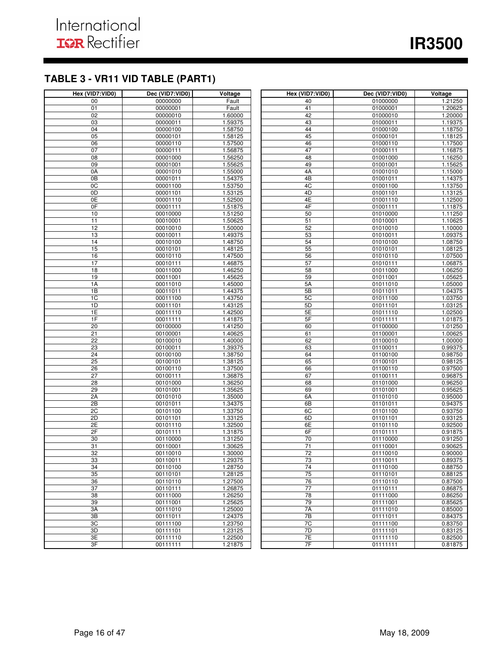## **TABLE 3 - VR11 VID TABLE (PART1)**

| Hex (VID7:VID0) | Dec (VID7:VID0)      | Voltage            | Hex (VID7:VID0) | Dec (VID7:VID0)      | Voltage            |
|-----------------|----------------------|--------------------|-----------------|----------------------|--------------------|
| 00              | 00000000             | Fault              | 40              | 01000000             | 1.21250            |
| 01              | 00000001             | Fault              | 41              | 01000001             | 1.20625            |
| 02              | 00000010             | 1.60000            | 42              | 01000010             | 1.20000            |
| 03              | 00000011             | 1.59375            | 43              | 01000011             | 1.19375            |
| 04              | 00000100             | 1.58750            | 44              | 01000100             | 1.18750            |
| 05              | 00000101             | 1.58125            | 45              | 01000101             | 1.18125            |
| 06              | 00000110             | 1.57500            | 46              | 01000110             | 1.17500            |
| 07              | 00000111             | 1.56875            | 47              | 01000111             | 1.16875            |
| $\overline{08}$ | 00001000             | 1.56250            | 48              | 01001000             | 1.16250            |
| 09              | 00001001             | 1.55625            | 49              | 01001001             | 1.15625            |
| 0A              | 00001010             | 1.55000            | 4A              | 01001010             | 1.15000            |
| 0B              | 00001011             | 1.54375            | 4B              | 01001011             | 1.14375            |
| 0C              | 00001100             | 1.53750            | 4C              | 01001100             | 1.13750            |
| 0D              | 00001101             | 1.53125            | 4 <sub>D</sub>  | 01001101             | 1.13125            |
| 0E              | 00001110             | 1.52500            | 4E              | 01001110             | 1.12500            |
| 0 <sub>F</sub>  | 00001111             | 1.51875            | 4F              | 01001111             | 1.11875            |
| 10              | 00010000             | 1.51250            | 50              | 01010000             | 1.11250            |
| 11              | 00010001             | 1.50625            | 51              | 01010001             | 1.10625            |
| 12              | 00010010             | 1.50000            | 52              | 01010010             | 1.10000            |
| 13              | 00010011             | 1.49375            | 53              | 01010011             | 1.09375            |
| 14              | 00010100             | 1.48750            | 54              | 01010100             | 1.08750            |
| 15              | 00010101             | 1.48125            | 55              | 01010101             | 1.08125            |
| 16              | 00010110             | 1.47500            | 56              | 01010110             | 1.07500            |
| 17              | 00010111             | 1.46875            | 57              | 01010111             | 1.06875            |
| $\overline{18}$ | 00011000             | 1.46250            | 58              | 01011000             | 1.06250            |
| 19              | 00011001             | 1.45625            | 59              | 01011001             | 1.05625            |
| 1A              | 00011010             | 1.45000            | 5A              | 01011010             | 1.05000            |
| 1B              | 00011011             | 1.44375            | 5B              | 01011011             | 1.04375            |
| 1C              | 00011100             | 1.43750            | 5C              | 01011100             | 1.03750            |
| 1D<br>1E        | 00011101<br>00011110 | 1.43125<br>1.42500 | 5D<br>5E        | 01011101             | 1.03125<br>1.02500 |
| 1F              | 00011111             | 1.41875            | 5F              | 01011110<br>01011111 | 1.01875            |
| $\overline{20}$ | 00100000             | 1.41250            | 60              | 01100000             | 1.01250            |
| $\overline{21}$ | 00100001             | 1.40625            | 61              | 01100001             | 1.00625            |
| 22              | 00100010             | 1.40000            | 62              | 01100010             | 1.00000            |
| 23              | 00100011             | 1.39375            | 63              | 01100011             | 0.99375            |
| 24              | 00100100             | 1.38750            | 64              | 01100100             | 0.98750            |
| 25              | 00100101             | 1.38125            | 65              | 01100101             | 0.98125            |
| $\overline{26}$ | 00100110             | 1.37500            | 66              | 01100110             | 0.97500            |
| $\overline{27}$ | 00100111             | 1.36875            | 67              | 01100111             | 0.96875            |
| 28              | 00101000             | 1.36250            | 68              | 01101000             | 0.96250            |
| 29              | 00101001             | 1.35625            | 69              | 01101001             | 0.95625            |
| 2A              | 00101010             | 1.35000            | 6A              | 01101010             | 0.95000            |
| 2B              | 00101011             | 1.34375            | 6B              | 01101011             | 0.94375            |
| 2C              | 00101100             | 1.33750            | 6C              | 01101100             | 0.93750            |
| 2D              | 00101101             | 1.33125            | 6D              | 01101101             | 0.93125            |
| 2E              | 00101110             | 1.32500            | 6E              | 01101110             | 0.92500            |
| 2F              | 00101111             | 1.31875            | 6F              | 01101111             | 0.91875            |
| 30              | 00110000             | 1.31250            | 70              | 01110000             | 0.91250            |
| 31              | 00110001             | 1.30625            | 71              | 01110001             | 0.90625            |
| 32              | 00110010             | 1.30000            | 72              | 01110010             | 0.90000            |
| 33              | 00110011             | 1.29375            | 73              | 01110011             | 0.89375            |
| 34              | 00110100             | 1.28750            | 74              | 01110100             | 0.88750            |
| 35              | 00110101             | 1.28125            | 75              | 01110101             | 0.88125            |
| 36              | 00110110             | 1.27500            | 76              | 01110110             | 0.87500            |
| 37              | 00110111             | 1.26875            | 77              | 01110111             | 0.86875            |
| 38              | 00111000             | 1.26250            | 78              | 01111000             | 0.86250            |
| 39              | 00111001             | 1.25625            | 79              | 01111001             | 0.85625            |
| 3A              | 00111010             | 1.25000            | 7A              | 01111010             | 0.85000            |
| 3B              | 00111011             | 1.24375            | 7B              | 01111011             | 0.84375            |
| 3C              | 00111100             | 1.23750            | 7C              | 01111100             | 0.83750            |
| 3D              | 00111101             | 1.23125            | 7D              | 01111101             | 0.83125            |
| 3E              | 00111110             | 1.22500            | 7E              | 01111110             | 0.82500            |
| 3F              | 00111111             | 1.21875            | 7F              | 01111111             | 0.81875            |

I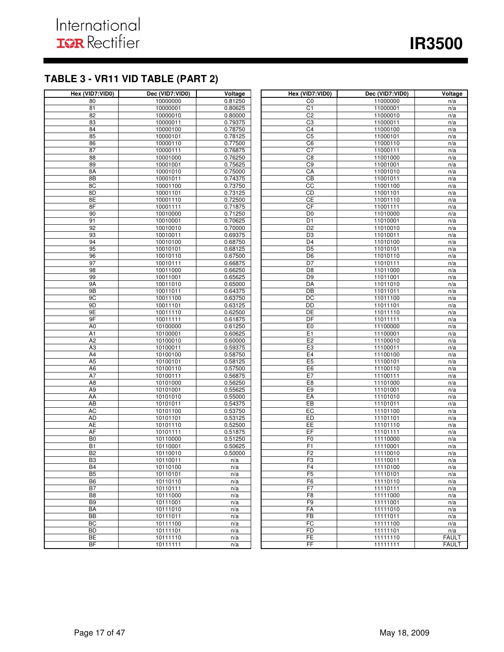## **TABLE 3 - VR11 VID TABLE (PART 2)**

| Hex (VID7:VID0)      | Dec (VID7:VID0)      | Voltage            | Hex (VID7:VID0)                  | Dec (VID7:VID0)      | Voltage      |
|----------------------|----------------------|--------------------|----------------------------------|----------------------|--------------|
| 80                   | 10000000             | 0.81250            | CO                               | 11000000             | n/a          |
| 81                   | 10000001             | 0.80625            | C1                               | 11000001             | n/a          |
| 82                   | 10000010             | 0.80000            | C <sub>2</sub>                   | 11000010             | n/a          |
| 83                   | 10000011             | 0.79375            | C3                               | 11000011             | n/a          |
| 84                   | 10000100             | 0.78750            | C4                               | 11000100             | n/a          |
| 85                   | 10000101             | 0.78125            | C <sub>5</sub>                   | 11000101             | n/a          |
| 86                   | 10000110             | 0.77500            | C <sub>6</sub>                   | 11000110             | n/a          |
| 87                   | 10000111             | 0.76875            | C <sub>7</sub>                   | 11000111             | n/a          |
| 88                   | 10001000             | 0.76250            | C8                               | 11001000             | n/a          |
| 89                   | 10001001             | 0.75625            | C9                               | 11001001             | n/a          |
| 8A                   | 10001010             | 0.75000            | CA                               | 11001010             | n/a          |
| 8B                   | 10001011             | 0.74375            | $\overline{CB}$                  | 11001011             | n/a          |
| 8C                   | 10001100             | 0.73750            | cc                               | 11001100             | n/a          |
| 8D                   | 10001101             | 0.73125            | CD                               | 11001101             | n/a          |
| 8E                   | 10001110             | 0.72500            | <b>CE</b>                        | 11001110             | n/a          |
| 8F                   | 10001111             | 0.71875            | CF                               | 11001111             | n/a          |
| 90                   | 10010000             | 0.71250            | D <sub>0</sub>                   | 11010000             | n/a          |
| 91                   | 10010001             | 0.70625            | D <sub>1</sub>                   | 11010001             | n/a          |
| 92                   | 10010010             | 0.70000            | D <sub>2</sub>                   | 11010010             | n/a          |
| 93                   | 10010011             | 0.69375            | D <sub>3</sub>                   | 11010011             | n/a          |
| 94                   | 10010100             | 0.68750            | D <sub>4</sub>                   | 11010100             | n/a          |
| 95                   | 10010101             | 0.68125            | $\overline{D5}$                  | 11010101             | n/a          |
| 96                   | 10010110             | 0.67500            | D <sub>6</sub>                   | 11010110             | n/a          |
| 97                   | 10010111             | 0.66875            | D7                               | 11010111             | n/a          |
| 98                   | 10011000             | 0.66250            | D <sub>8</sub>                   | 11011000             | n/a          |
| 99                   | 10011001             | 0.65625            | D <sub>9</sub>                   | 11011001             | n/a          |
| 9A                   | 10011010             | 0.65000            | DA                               | 11011010             | n/a          |
| 9B                   | 10011011             | 0.64375            | $\overline{DB}$                  | 11011011             | n/a          |
| 9C                   | 10011100             | 0.63750            | $\overline{DC}$                  | 11011100             | n/a          |
| 9D                   | 10011101             | 0.63125            | DD                               | 11011101             | n/a          |
| 9E                   | 10011110             | 0.62500            | DE                               | 11011110             | n/a          |
| 9F                   | 10011111             | 0.61875            | DF                               | 11011111             | n/a          |
| A <sub>0</sub>       | 10100000             | 0.61250            | E <sub>0</sub>                   | 11100000             | n/a          |
| A <sub>1</sub>       | 10100001             | 0.60625            | E1                               | 11100001             | n/a          |
| A2                   | 10100010             | 0.60000            | E2                               | 11100010             | n/a          |
| A <sub>3</sub>       | 10100011             | 0.59375            | E <sub>3</sub>                   | 11100011             | n/a          |
| A4<br>A <sub>5</sub> | 10100100             | 0.58750            | E <sub>4</sub><br>E <sub>5</sub> | 11100100             | n/a          |
| A <sub>6</sub>       | 10100101             | 0.58125<br>0.57500 | E <sub>6</sub>                   | 11100101             | n/a          |
| A7                   | 10100110             |                    | E7                               | 11100110<br>11100111 | n/a          |
| A <sub>8</sub>       | 10100111<br>10101000 | 0.56875<br>0.56250 | E8                               | 11101000             | n/a<br>n/a   |
| A <sub>9</sub>       | 10101001             | 0.55625            | E <sub>9</sub>                   | 11101001             | n/a          |
| AA                   | 10101010             | 0.55000            | EA                               | 11101010             | n/a          |
| AB                   | 10101011             | 0.54375            | EB                               | 11101011             | n/a          |
| <b>AC</b>            | 10101100             | 0.53750            | EC                               | 11101100             | n/a          |
| <b>AD</b>            | 10101101             | 0.53125            | ED                               | 11101101             | n/a          |
| <b>AE</b>            | 10101110             | 0.52500            | EE                               | 11101110             | n/a          |
| <b>AF</b>            | 10101111             | 0.51875            | EF                               | 11101111             | n/a          |
| B <sub>0</sub>       | 10110000             | 0.51250            | F <sub>0</sub>                   | 11110000             | n/a          |
| <b>B1</b>            | 10110001             | 0.50625            | F1                               | 11110001             | n/a          |
| B <sub>2</sub>       | 10110010             | 0.50000            | F2                               | 11110010             | n/a          |
| B3                   | 10110011             | n/a                | F3                               | 11110011             | n/a          |
| <b>B4</b>            | 10110100             | n/a                | F <sub>4</sub>                   | 11110100             | n/a          |
| B <sub>5</sub>       | 10110101             | n/a                | F5                               | 11110101             | n/a          |
| B <sub>6</sub>       | 10110110             | n/a                | F6                               | 11110110             | n/a          |
| B7                   | 10110111             | n/a                | F7                               | 11110111             | n/a          |
| B <sub>8</sub>       | 10111000             | n/a                | F <sub>8</sub>                   | 11111000             | n/a          |
| B <sub>9</sub>       | 10111001             | n/a                | F9                               | 11111001             | n/a          |
| BA                   | 10111010             | n/a                | FA                               | 11111010             | n/a          |
| BB                   | 10111011             | n/a                | FB                               | 11111011             | n/a          |
| BC                   | 10111100             | n/a                | FC                               | 11111100             | n/a          |
| <b>BD</b>            | 10111101             | n/a                | FD                               | 11111101             | n/a          |
| <b>BE</b>            | 10111110             | n/a                | <b>FE</b>                        | 11111110             | <b>FAULT</b> |
| BF                   | 10111111             | n/a                | FF                               | 11111111             | <b>FAULT</b> |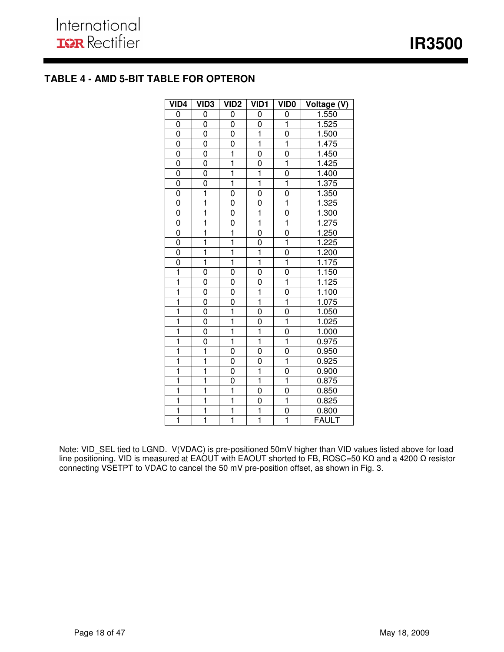## **TABLE 4 - AMD 5-BIT TABLE FOR OPTERON**

| VID <sub>4</sub>        | VID <sub>3</sub>        | VID <sub>2</sub>        | VID1                    | <b>VIDO</b>             | Voltage (V)  |
|-------------------------|-------------------------|-------------------------|-------------------------|-------------------------|--------------|
| 0                       | 0                       | 0                       | 0                       | 0                       | 1.550        |
| $\overline{0}$          | 0                       | 0                       | 0                       | $\overline{\mathbf{1}}$ | 1.525        |
| $\overline{0}$          | $\overline{0}$          | $\overline{0}$          | $\overline{1}$          | 0                       | 1.500        |
| 0                       | 0                       | 0                       | ī                       | $\overline{1}$          | 1.475        |
| $\overline{0}$          | $\overline{0}$          | $\overline{\mathbf{1}}$ | 0                       | 0                       | 1.450        |
| 0                       | 0                       | $\overline{\mathbf{1}}$ | 0                       | $\overline{\mathbf{1}}$ | 1.425        |
| 0                       | 0                       | $\overline{\mathbf{1}}$ | $\overline{1}$          | 0                       | 1.400        |
| $\overline{0}$          | $\overline{0}$          | $\overline{\mathbf{1}}$ | $\overline{\mathbf{1}}$ | $\overline{\mathbf{1}}$ | 1.375        |
| $\overline{0}$          | $\overline{1}$          | 0                       | $\overline{0}$          | $\overline{0}$          | 1.350        |
| 0                       | ī                       | 0                       | 0                       | $\overline{\mathbf{1}}$ | 1.325        |
| 0                       | $\overline{\mathbf{1}}$ | 0                       | $\overline{\mathbf{1}}$ | $\overline{0}$          | 1.300        |
| 0                       | ī                       | 0                       | ī                       | ī                       | 1.275        |
| $\overline{0}$          | $\overline{1}$          | $\overline{\mathbf{1}}$ | $\overline{0}$          | $\overline{0}$          | 1.250        |
| 0                       | ī                       | $\overline{\mathbf{1}}$ | 0                       | ī                       | 1.225        |
| 0                       | $\overline{\mathbf{1}}$ | $\mathbf 1$             | $\overline{\mathbf{1}}$ | 0                       | 1.200        |
| $\overline{0}$          | $\overline{\mathbf{1}}$ | $\overline{\mathbf{1}}$ | $\overline{\mathbf{1}}$ | $\overline{\mathbf{1}}$ | 1.175        |
| $\overline{\mathbf{1}}$ | 0                       | 0                       | 0                       | 0                       | 1.150        |
| $\overline{\mathbf{1}}$ | $\overline{0}$          | 0                       | $\overline{0}$          | $\overline{\mathbf{1}}$ | 1.125        |
| $\overline{\mathbf{1}}$ | 0                       | 0                       | $\overline{\mathbf{1}}$ | 0                       | 1.100        |
| ī                       | 0                       | 0                       | $\overline{\mathbf{1}}$ | $\overline{\mathbf{1}}$ | 1.075        |
| ī                       | 0                       | $\overline{\mathbf{1}}$ | 0                       | $\overline{0}$          | 1.050        |
| $\overline{\mathbf{1}}$ | $\overline{0}$          | $\overline{\mathbf{1}}$ | $\overline{0}$          | $\overline{\mathbf{1}}$ | 1.025        |
| $\overline{\mathbf{1}}$ | 0                       | $\overline{\mathbf{1}}$ | $\overline{\mathbf{1}}$ | 0                       | 1.000        |
| $\overline{\mathbf{1}}$ | 0                       | $\overline{\mathbf{1}}$ | $\overline{\mathbf{1}}$ | $\overline{\mathbf{1}}$ | 0.975        |
| $\overline{1}$          | $\overline{1}$          | 0                       | 0                       | 0                       | 0.950        |
| $\overline{\mathbf{1}}$ | $\overline{\mathbf{1}}$ | 0                       | 0                       | $\overline{\mathbf{1}}$ | 0.925        |
| ī                       | ī                       | 0                       | $\overline{\mathbf{1}}$ | 0                       | 0.900        |
| $\overline{\mathbf{1}}$ | $\overline{\mathbf{1}}$ | 0                       | $\overline{\mathbf{1}}$ | $\overline{1}$          | 0.875        |
| $\overline{\mathbf{1}}$ | ī                       | $\overline{\mathbf{1}}$ | $\overline{0}$          | $\overline{0}$          | 0.850        |
| ī                       | $\overline{\mathbf{1}}$ | $\overline{\mathbf{1}}$ | 0                       | $\overline{\mathbf{1}}$ | 0.825        |
| $\overline{\mathbf{1}}$ | $\overline{\mathbf{1}}$ | $\overline{\mathbf{1}}$ | $\overline{\mathbf{1}}$ | $\overline{0}$          | 0.800        |
| ī                       | ī                       | $\overline{\mathbf{1}}$ | $\overline{\mathbf{1}}$ | $\overline{\mathbf{1}}$ | <b>FAULT</b> |

Note: VID\_SEL tied to LGND. V(VDAC) is pre-positioned 50mV higher than VID values listed above for load line positioning. VID is measured at EAOUT with EAOUT shorted to FB, ROSC=50 KΩ and a 4200 Ω resistor connecting VSETPT to VDAC to cancel the 50 mV pre-position offset, as shown in Fig. 3.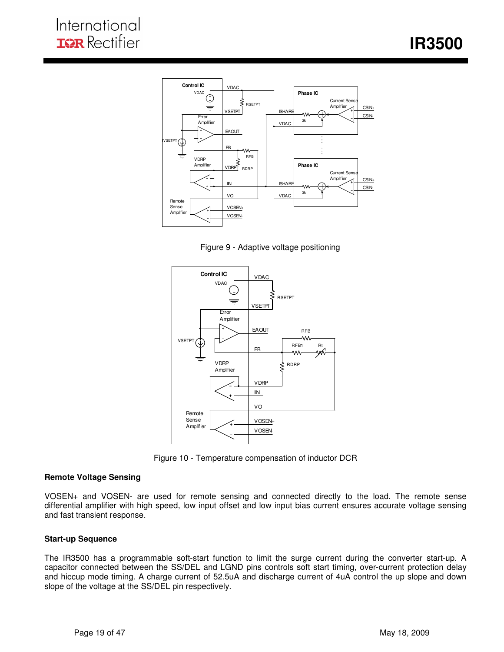



I





Figure 10 - Temperature compensation of inductor DCR

#### **Remote Voltage Sensing**

VOSEN+ and VOSEN- are used for remote sensing and connected directly to the load. The remote sense differential amplifier with high speed, low input offset and low input bias current ensures accurate voltage sensing and fast transient response.

#### **Start-up Sequence**

The IR3500 has a programmable soft-start function to limit the surge current during the converter start-up. A capacitor connected between the SS/DEL and LGND pins controls soft start timing, over-current protection delay and hiccup mode timing. A charge current of 52.5uA and discharge current of 4uA control the up slope and down slope of the voltage at the SS/DEL pin respectively.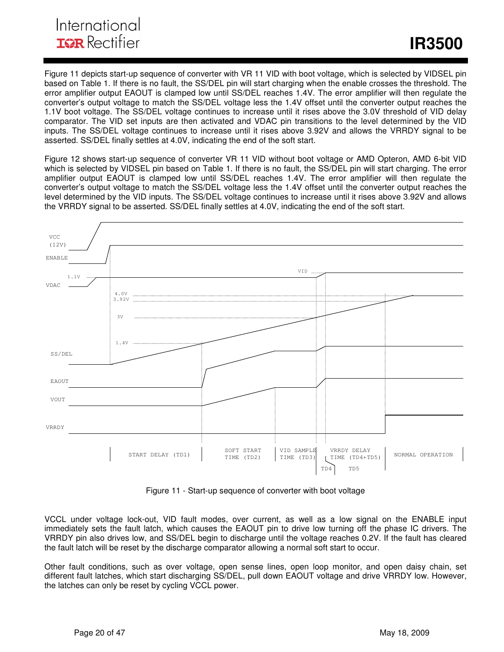## International **IGR** Rectifier

Figure 11 depicts start-up sequence of converter with VR 11 VID with boot voltage, which is selected by VIDSEL pin based on Table 1. If there is no fault, the SS/DEL pin will start charging when the enable crosses the threshold. The error amplifier output EAOUT is clamped low until SS/DEL reaches 1.4V. The error amplifier will then regulate the converter's output voltage to match the SS/DEL voltage less the 1.4V offset until the converter output reaches the 1.1V boot voltage. The SS/DEL voltage continues to increase until it rises above the 3.0V threshold of VID delay comparator. The VID set inputs are then activated and VDAC pin transitions to the level determined by the VID inputs. The SS/DEL voltage continues to increase until it rises above 3.92V and allows the VRRDY signal to be asserted. SS/DEL finally settles at 4.0V, indicating the end of the soft start.

I

Figure 12 shows start-up sequence of converter VR 11 VID without boot voltage or AMD Opteron, AMD 6-bit VID which is selected by VIDSEL pin based on Table 1. If there is no fault, the SS/DEL pin will start charging. The error amplifier output EAOUT is clamped low until SS/DEL reaches 1.4V. The error amplifier will then regulate the converter's output voltage to match the SS/DEL voltage less the 1.4V offset until the converter output reaches the level determined by the VID inputs. The SS/DEL voltage continues to increase until it rises above 3.92V and allows the VRRDY signal to be asserted. SS/DEL finally settles at 4.0V, indicating the end of the soft start.



Figure 11 - Start-up sequence of converter with boot voltage

VCCL under voltage lock-out, VID fault modes, over current, as well as a low signal on the ENABLE input immediately sets the fault latch, which causes the EAOUT pin to drive low turning off the phase IC drivers. The VRRDY pin also drives low, and SS/DEL begin to discharge until the voltage reaches 0.2V. If the fault has cleared the fault latch will be reset by the discharge comparator allowing a normal soft start to occur.

Other fault conditions, such as over voltage, open sense lines, open loop monitor, and open daisy chain, set different fault latches, which start discharging SS/DEL, pull down EAOUT voltage and drive VRRDY low. However, the latches can only be reset by cycling VCCL power.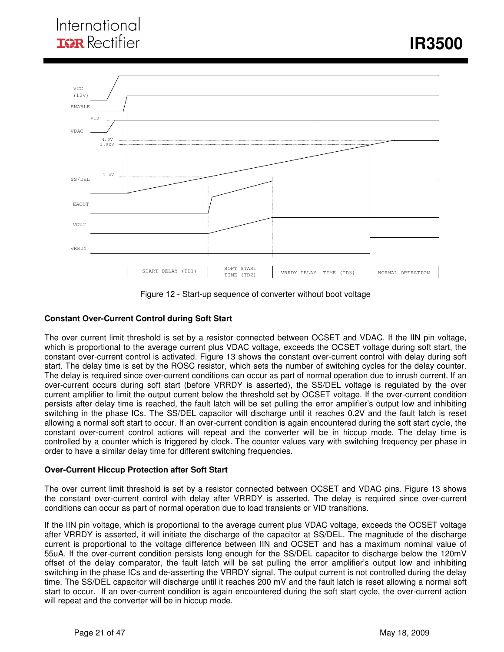

Figure 12 - Start-up sequence of converter without boot voltage

### **Constant Over-Current Control during Soft Start**

The over current limit threshold is set by a resistor connected between OCSET and VDAC. If the IIN pin voltage, which is proportional to the average current plus VDAC voltage, exceeds the OCSET voltage during soft start, the constant over-current control is activated. Figure 13 shows the constant over-current control with delay during soft start. The delay time is set by the ROSC resistor, which sets the number of switching cycles for the delay counter. The delay is required since over-current conditions can occur as part of normal operation due to inrush current. If an over-current occurs during soft start (before VRRDY is asserted), the SS/DEL voltage is regulated by the over current amplifier to limit the output current below the threshold set by OCSET voltage. If the over-current condition persists after delay time is reached, the fault latch will be set pulling the error amplifier's output low and inhibiting switching in the phase ICs. The SS/DEL capacitor will discharge until it reaches 0.2V and the fault latch is reset allowing a normal soft start to occur. If an over-current condition is again encountered during the soft start cycle, the constant over-current control actions will repeat and the converter will be in hiccup mode. The delay time is controlled by a counter which is triggered by clock. The counter values vary with switching frequency per phase in order to have a similar delay time for different switching frequencies.

#### **Over-Current Hiccup Protection after Soft Start**

The over current limit threshold is set by a resistor connected between OCSET and VDAC pins. Figure 13 shows the constant over-current control with delay after VRRDY is asserted. The delay is required since over-current conditions can occur as part of normal operation due to load transients or VID transitions.

If the IIN pin voltage, which is proportional to the average current plus VDAC voltage, exceeds the OCSET voltage after VRRDY is asserted, it will initiate the discharge of the capacitor at SS/DEL. The magnitude of the discharge current is proportional to the voltage difference between IIN and OCSET and has a maximum nominal value of 55uA. If the over-current condition persists long enough for the SS/DEL capacitor to discharge below the 120mV offset of the delay comparator, the fault latch will be set pulling the error amplifier's output low and inhibiting switching in the phase ICs and de-asserting the VRRDY signal. The output current is not controlled during the delay time. The SS/DEL capacitor will discharge until it reaches 200 mV and the fault latch is reset allowing a normal soft start to occur. If an over-current condition is again encountered during the soft start cycle, the over-current action will repeat and the converter will be in hiccup mode.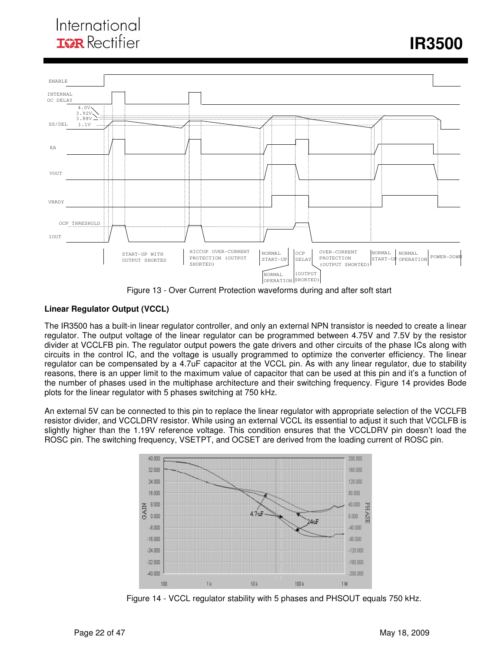## International **ISR** Rectifier

*<u><b>IR3500*</u>



Figure 13 - Over Current Protection waveforms during and after soft start

### **Linear Regulator Output (VCCL)**

The IR3500 has a built-in linear regulator controller, and only an external NPN transistor is needed to create a linear regulator. The output voltage of the linear regulator can be programmed between 4.75V and 7.5V by the resistor divider at VCCLFB pin. The regulator output powers the gate drivers and other circuits of the phase ICs along with circuits in the control IC, and the voltage is usually programmed to optimize the converter efficiency. The linear regulator can be compensated by a 4.7uF capacitor at the VCCL pin. As with any linear regulator, due to stability reasons, there is an upper limit to the maximum value of capacitor that can be used at this pin and it's a function of the number of phases used in the multiphase architecture and their switching frequency. Figure 14 provides Bode plots for the linear regulator with 5 phases switching at 750 kHz.

An external 5V can be connected to this pin to replace the linear regulator with appropriate selection of the VCCLFB resistor divider, and VCCLDRV resistor. While using an external VCCL its essential to adjust it such that VCCLFB is slightly higher than the 1.19V reference voltage. This condition ensures that the VCCLDRV pin doesn't load the ROSC pin. The switching frequency, VSETPT, and OCSET are derived from the loading current of ROSC pin.



Figure 14 - VCCL regulator stability with 5 phases and PHSOUT equals 750 kHz.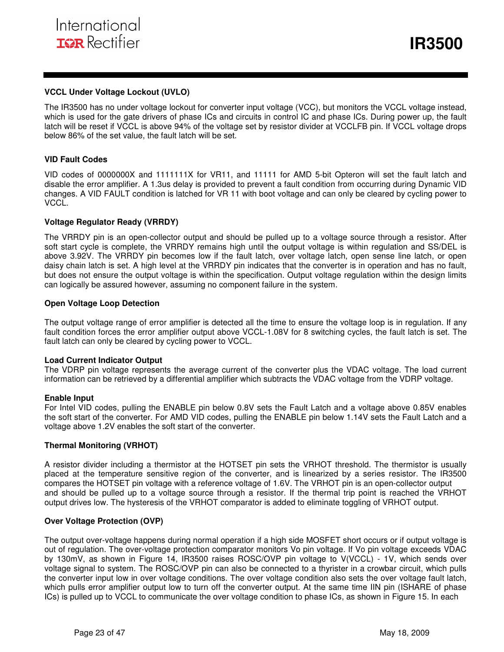#### **VCCL Under Voltage Lockout (UVLO)**

The IR3500 has no under voltage lockout for converter input voltage (VCC), but monitors the VCCL voltage instead, which is used for the gate drivers of phase ICs and circuits in control IC and phase ICs. During power up, the fault latch will be reset if VCCL is above 94% of the voltage set by resistor divider at VCCLFB pin. If VCCL voltage drops below 86% of the set value, the fault latch will be set.

#### **VID Fault Codes**

VID codes of 0000000X and 1111111X for VR11, and 11111 for AMD 5-bit Opteron will set the fault latch and disable the error amplifier. A 1.3us delay is provided to prevent a fault condition from occurring during Dynamic VID changes. A VID FAULT condition is latched for VR 11 with boot voltage and can only be cleared by cycling power to VCCL.

#### **Voltage Regulator Ready (VRRDY)**

The VRRDY pin is an open-collector output and should be pulled up to a voltage source through a resistor. After soft start cycle is complete, the VRRDY remains high until the output voltage is within regulation and SS/DEL is above 3.92V. The VRRDY pin becomes low if the fault latch, over voltage latch, open sense line latch, or open daisy chain latch is set. A high level at the VRRDY pin indicates that the converter is in operation and has no fault, but does not ensure the output voltage is within the specification. Output voltage regulation within the design limits can logically be assured however, assuming no component failure in the system.

#### **Open Voltage Loop Detection**

The output voltage range of error amplifier is detected all the time to ensure the voltage loop is in regulation. If any fault condition forces the error amplifier output above VCCL-1.08V for 8 switching cycles, the fault latch is set. The fault latch can only be cleared by cycling power to VCCL.

#### **Load Current Indicator Output**

The VDRP pin voltage represents the average current of the converter plus the VDAC voltage. The load current information can be retrieved by a differential amplifier which subtracts the VDAC voltage from the VDRP voltage.

#### **Enable Input**

For Intel VID codes, pulling the ENABLE pin below 0.8V sets the Fault Latch and a voltage above 0.85V enables the soft start of the converter. For AMD VID codes, pulling the ENABLE pin below 1.14V sets the Fault Latch and a voltage above 1.2V enables the soft start of the converter.

#### **Thermal Monitoring (VRHOT)**

A resistor divider including a thermistor at the HOTSET pin sets the VRHOT threshold. The thermistor is usually placed at the temperature sensitive region of the converter, and is linearized by a series resistor. The IR3500 compares the HOTSET pin voltage with a reference voltage of 1.6V. The VRHOT pin is an open-collector output and should be pulled up to a voltage source through a resistor. If the thermal trip point is reached the VRHOT output drives low. The hysteresis of the VRHOT comparator is added to eliminate toggling of VRHOT output.

#### **Over Voltage Protection (OVP)**

The output over-voltage happens during normal operation if a high side MOSFET short occurs or if output voltage is out of regulation. The over-voltage protection comparator monitors Vo pin voltage. If Vo pin voltage exceeds VDAC by 130mV, as shown in Figure 14, IR3500 raises ROSC/OVP pin voltage to V(VCCL) - 1V, which sends over voltage signal to system. The ROSC/OVP pin can also be connected to a thyrister in a crowbar circuit, which pulls the converter input low in over voltage conditions. The over voltage condition also sets the over voltage fault latch, which pulls error amplifier output low to turn off the converter output. At the same time IIN pin (ISHARE of phase ICs) is pulled up to VCCL to communicate the over voltage condition to phase ICs, as shown in Figure 15. In each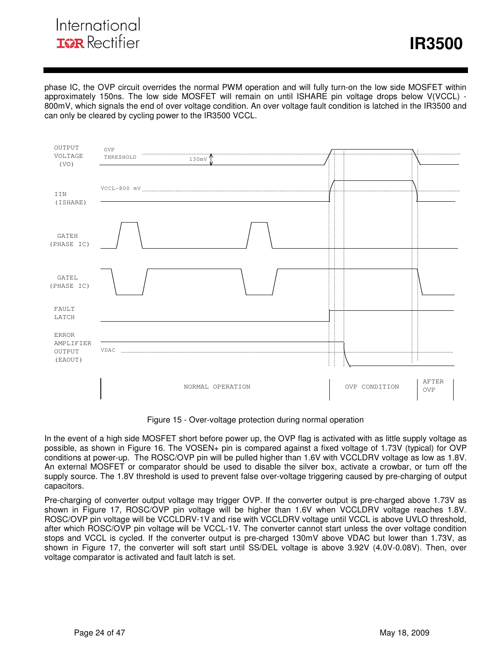## International **IGR** Rectifier

*<u><b>IR3500*</u>

phase IC, the OVP circuit overrides the normal PWM operation and will fully turn-on the low side MOSFET within approximately 150ns. The low side MOSFET will remain on until ISHARE pin voltage drops below V(VCCL) - 800mV, which signals the end of over voltage condition. An over voltage fault condition is latched in the IR3500 and can only be cleared by cycling power to the IR3500 VCCL.



Figure 15 - Over-voltage protection during normal operation

In the event of a high side MOSFET short before power up, the OVP flag is activated with as little supply voltage as possible, as shown in Figure 16. The VOSEN+ pin is compared against a fixed voltage of 1.73V (typical) for OVP conditions at power-up. The ROSC/OVP pin will be pulled higher than 1.6V with VCCLDRV voltage as low as 1.8V. An external MOSFET or comparator should be used to disable the silver box, activate a crowbar, or turn off the supply source. The 1.8V threshold is used to prevent false over-voltage triggering caused by pre-charging of output capacitors.

Pre-charging of converter output voltage may trigger OVP. If the converter output is pre-charged above 1.73V as shown in Figure 17, ROSC/OVP pin voltage will be higher than 1.6V when VCCLDRV voltage reaches 1.8V. ROSC/OVP pin voltage will be VCCLDRV-1V and rise with VCCLDRV voltage until VCCL is above UVLO threshold, after which ROSC/OVP pin voltage will be VCCL-1V. The converter cannot start unless the over voltage condition stops and VCCL is cycled. If the converter output is pre-charged 130mV above VDAC but lower than 1.73V, as shown in Figure 17, the converter will soft start until SS/DEL voltage is above 3.92V (4.0V-0.08V). Then, over voltage comparator is activated and fault latch is set.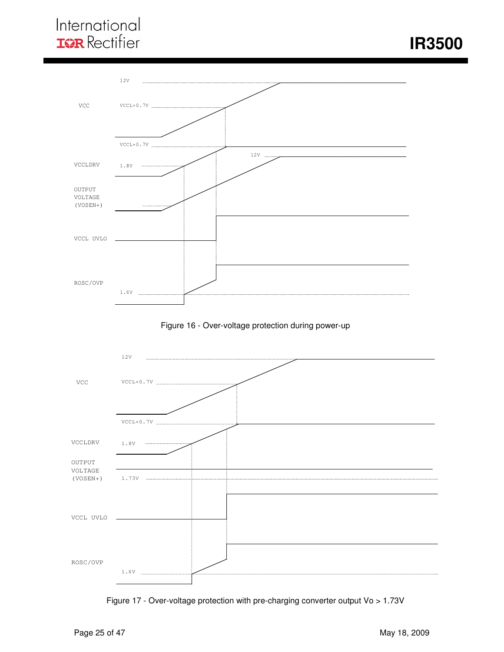## International **IOR** Rectifier

 **IR3500** 







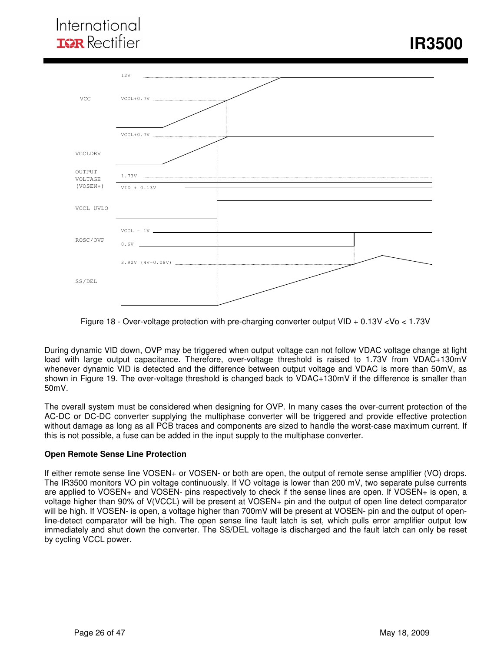

Figure 18 - Over-voltage protection with pre-charging converter output VID + 0.13V <Vo < 1.73V

During dynamic VID down, OVP may be triggered when output voltage can not follow VDAC voltage change at light load with large output capacitance. Therefore, over-voltage threshold is raised to 1.73V from VDAC+130mV whenever dynamic VID is detected and the difference between output voltage and VDAC is more than 50mV, as shown in Figure 19. The over-voltage threshold is changed back to VDAC+130mV if the difference is smaller than 50mV.

The overall system must be considered when designing for OVP. In many cases the over-current protection of the AC-DC or DC-DC converter supplying the multiphase converter will be triggered and provide effective protection without damage as long as all PCB traces and components are sized to handle the worst-case maximum current. If this is not possible, a fuse can be added in the input supply to the multiphase converter.

#### **Open Remote Sense Line Protection**

If either remote sense line VOSEN+ or VOSEN- or both are open, the output of remote sense amplifier (VO) drops. The IR3500 monitors VO pin voltage continuously. If VO voltage is lower than 200 mV, two separate pulse currents are applied to VOSEN+ and VOSEN- pins respectively to check if the sense lines are open. If VOSEN+ is open, a voltage higher than 90% of V(VCCL) will be present at VOSEN+ pin and the output of open line detect comparator will be high. If VOSEN- is open, a voltage higher than 700mV will be present at VOSEN- pin and the output of openline-detect comparator will be high. The open sense line fault latch is set, which pulls error amplifier output low immediately and shut down the converter. The SS/DEL voltage is discharged and the fault latch can only be reset by cycling VCCL power.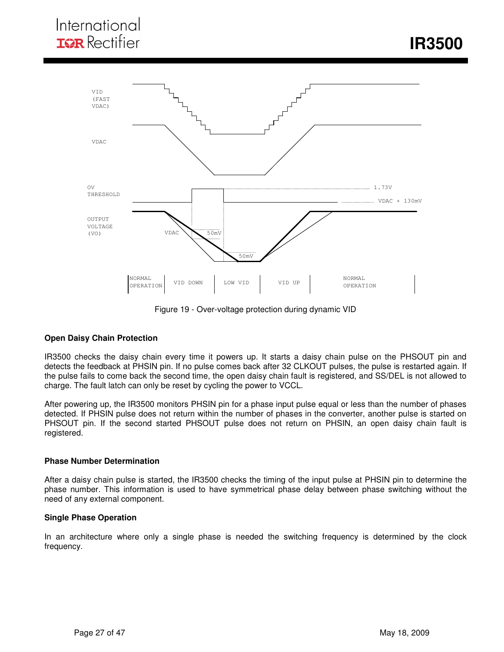*<u><b>IR3500*</u>



Figure 19 - Over-voltage protection during dynamic VID

#### **Open Daisy Chain Protection**

IR3500 checks the daisy chain every time it powers up. It starts a daisy chain pulse on the PHSOUT pin and detects the feedback at PHSIN pin. If no pulse comes back after 32 CLKOUT pulses, the pulse is restarted again. If the pulse fails to come back the second time, the open daisy chain fault is registered, and SS/DEL is not allowed to charge. The fault latch can only be reset by cycling the power to VCCL.

After powering up, the IR3500 monitors PHSIN pin for a phase input pulse equal or less than the number of phases detected. If PHSIN pulse does not return within the number of phases in the converter, another pulse is started on PHSOUT pin. If the second started PHSOUT pulse does not return on PHSIN, an open daisy chain fault is registered.

#### **Phase Number Determination**

After a daisy chain pulse is started, the IR3500 checks the timing of the input pulse at PHSIN pin to determine the phase number. This information is used to have symmetrical phase delay between phase switching without the need of any external component.

#### **Single Phase Operation**

In an architecture where only a single phase is needed the switching frequency is determined by the clock frequency.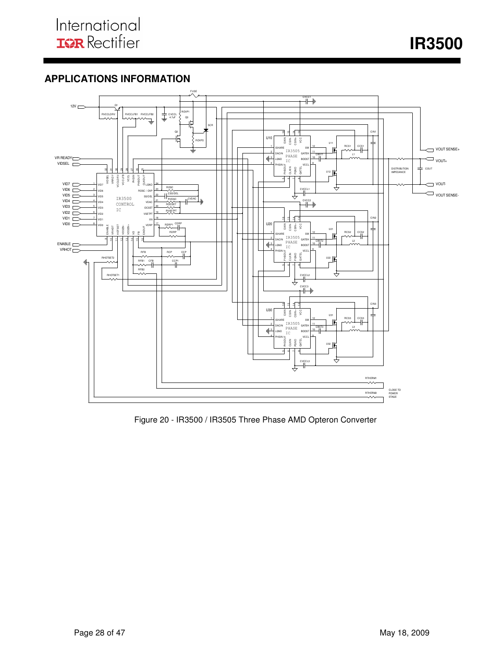**IR3500** 

## **APPLICATIONS INFORMATION**



Figure 20 - IR3500 / IR3505 Three Phase AMD Opteron Converter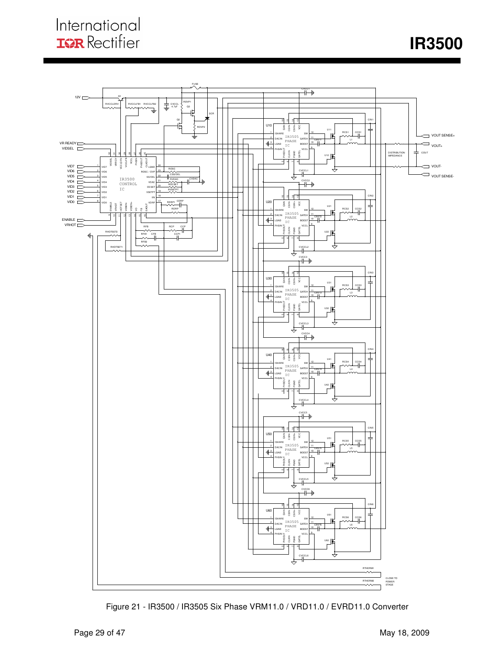

Figure 21 - IR3500 / IR3505 Six Phase VRM11.0 / VRD11.0 / EVRD11.0 Converter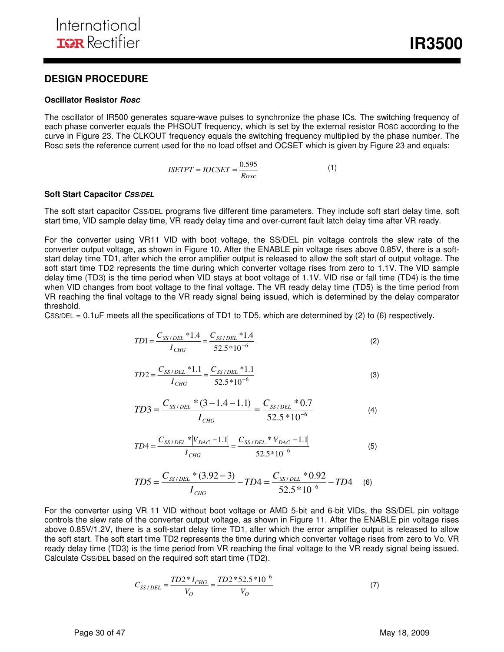#### **Oscillator Resistor Rosc**

The oscillator of IR500 generates square-wave pulses to synchronize the phase ICs. The switching frequency of each phase converter equals the PHSOUT frequency, which is set by the external resistor ROSC according to the curve in Figure 23. The CLKOUT frequency equals the switching frequency multiplied by the phase number. The Rosc sets the reference current used for the no load offset and OCSET which is given by Figure 23 and equals:

$$
ISETPT = IOCSET = \frac{0.595}{Rosc}
$$
 (1)

#### **Soft Start Capacitor CSS/DEL**

The soft start capacitor CSS/DEL programs five different time parameters. They include soft start delay time, soft start time, VID sample delay time, VR ready delay time and over-current fault latch delay time after VR ready.

For the converter using VR11 VID with boot voltage, the SS/DEL pin voltage controls the slew rate of the converter output voltage, as shown in Figure 10. After the ENABLE pin voltage rises above 0.85V, there is a softstart delay time TD1, after which the error amplifier output is released to allow the soft start of output voltage. The soft start time TD2 represents the time during which converter voltage rises from zero to 1.1V. The VID sample delay time (TD3) is the time period when VID stays at boot voltage of 1.1V. VID rise or fall time (TD4) is the time when VID changes from boot voltage to the final voltage. The VR ready delay time (TD5) is the time period from VR reaching the final voltage to the VR ready signal being issued, which is determined by the delay comparator threshold.

CSS/DEL = 0.1uF meets all the specifications of TD1 to TD5, which are determined by  $(2)$  to  $(6)$  respectively.

$$
TD1 = \frac{C_{SS/DEL} * 1.4}{I_{CHG}} = \frac{C_{SS/DEL} * 1.4}{52.5 * 10^{-6}}
$$
(2)

$$
TD2 = \frac{C_{SS/DEL} * 1.1}{I_{CHG}} = \frac{C_{SS/DEL} * 1.1}{52.5 * 10^{-6}}
$$
(3)

$$
TD3 = \frac{C_{SS/DEL} * (3 - 1.4 - 1.1)}{I_{CHG}} = \frac{C_{SS/DEL} * 0.7}{52.5 * 10^{-6}}
$$
(4)

$$
TD4 = \frac{C_{SS/DEL} * |V_{DAC} - 1.1|}{I_{CHG}} = \frac{C_{SS/DEL} * |V_{DAC} - 1.1|}{52.5 * 10^{-6}}
$$
(5)

$$
TD5 = \frac{C_{SS/DEL} * (3.92 - 3)}{I_{CHG}} - TD4 = \frac{C_{SS/DEL} * 0.92}{52.5 * 10^{-6}} - TD4
$$
 (6)

For the converter using VR 11 VID without boot voltage or AMD 5-bit and 6-bit VIDs, the SS/DEL pin voltage controls the slew rate of the converter output voltage, as shown in Figure 11. After the ENABLE pin voltage rises above 0.85V/1.2V, there is a soft-start delay time TD1, after which the error amplifier output is released to allow the soft start. The soft start time TD2 represents the time during which converter voltage rises from zero to Vo. VR ready delay time (TD3) is the time period from VR reaching the final voltage to the VR ready signal being issued. Calculate CSS/DEL based on the required soft start time (TD2).

$$
C_{SS/DEL} = \frac{TD2 * I_{CHG}}{V_O} = \frac{TD2 * 52.5 * 10^{-6}}{V_O}
$$
 (7)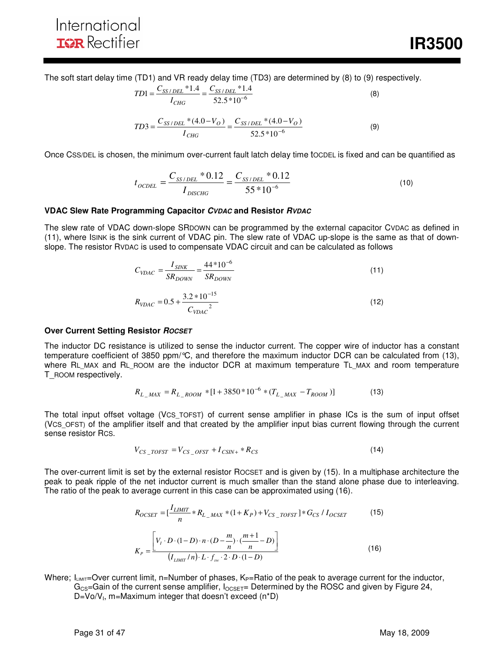The soft start delay time (TD1) and VR ready delay time (TD3) are determined by (8) to (9) respectively.

$$
TD1 = \frac{C_{SS/DEL} * 1.4}{I_{CHG}} = \frac{C_{SS/DEL} * 1.4}{52.5 * 10^{-6}}
$$
(8)

$$
TD3 = \frac{C_{SS/DEL} * (4.0 - V_O)}{I_{CHG}} = \frac{C_{SS/DEL} * (4.0 - V_O)}{52.5 * 10^{-6}}
$$
(9)

Once CSS/DEL is chosen, the minimum over-current fault latch delay time tOCDEL is fixed and can be quantified as

$$
t_{OCDEL} = \frac{C_{SS/DEL} * 0.12}{I_{DISCHG}} = \frac{C_{SS/DEL} * 0.12}{55 * 10^{-6}}
$$
(10)

#### **VDAC Slew Rate Programming Capacitor CVDAC and Resistor RVDAC**

The slew rate of VDAC down-slope SRDOWN can be programmed by the external capacitor CVDAC as defined in (11), where ISINK is the sink current of VDAC pin. The slew rate of VDAC up-slope is the same as that of downslope. The resistor RVDAC is used to compensate VDAC circuit and can be calculated as follows

$$
C_{VDAC} = \frac{I_{SINK}}{SR_{DOWN}} = \frac{44*10^{-6}}{SR_{DOWN}}
$$
(11)  

$$
R_{VDAC} = 0.5 + \frac{3.2*10^{-15}}{C_{VDAC}^2}
$$
(12)

#### **Over Current Setting Resistor ROCSET**

The inductor DC resistance is utilized to sense the inductor current. The copper wire of inductor has a constant temperature coefficient of 3850 ppm/°C, and therefore the maximum inductor DCR can be calculated from (13), where RL MAX and RL ROOM are the inductor DCR at maximum temperature TL MAX and room temperature T\_ROOM respectively.

$$
R_{L\_MAX} = R_{L\_ROM} * [1 + 3850 * 10^{-6} * (T_{L\_MAX} - T_{ROM})]
$$
(13)

The total input offset voltage (VCS\_TOFST) of current sense amplifier in phase ICs is the sum of input offset (VCS\_OFST) of the amplifier itself and that created by the amplifier input bias current flowing through the current sense resistor RCS.

$$
V_{CS\_TOFST} = V_{CS\_OFST} + I_{CSIN+} * R_{CS}
$$
 (14)

The over-current limit is set by the external resistor ROCSET and is given by (15). In a multiphase architecture the peak to peak ripple of the net inductor current is much smaller than the stand alone phase due to interleaving. The ratio of the peak to average current in this case can be approximated using (16).

$$
R_{OCSET} = \left[\frac{I_{LIMIT}}{n} * R_{L_MAX} * (1 + K_P) + V_{CS\_TOFST}\right] * G_{CS} / I_{OCSET}
$$
(15)  

$$
K_P = \frac{\left[V_I \cdot D \cdot (1 - D) \cdot n \cdot (D - \frac{m}{n}) \cdot (\frac{m+1}{n} - D)\right]}{(I_{LIMIT}/n) \cdot L \cdot f_{sw} \cdot 2 \cdot D \cdot (1 - D)}
$$
(16)

Where;  $I_{LIMIT}=Over$  current limit, n=Number of phases,  $K_P=Ratio$  of the peak to average current for the inductor,  $G_{CS}$ =Gain of the current sense amplifier,  $I_{OCSET}$ = Determined by the ROSC and given by Figure 24, D=Vo/V<sub>I</sub>, m=Maximum integer that doesn't exceed (n\*D)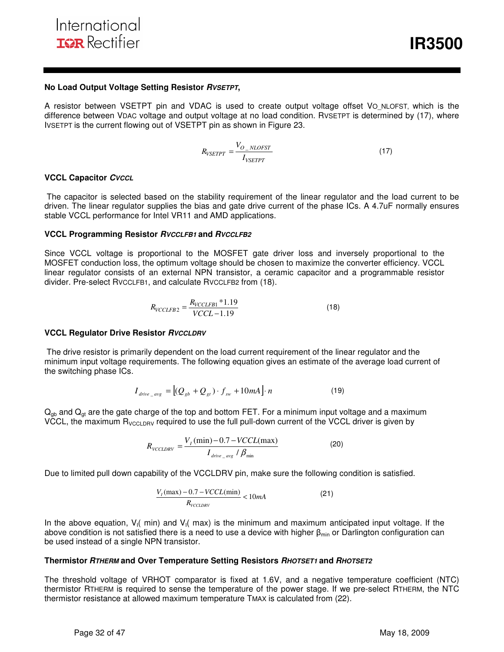#### **No Load Output Voltage Setting Resistor RVSETPT,**

A resistor between VSETPT pin and VDAC is used to create output voltage offset VO NLOFST, which is the difference between VDAC voltage and output voltage at no load condition. RVSETPT is determined by (17), where IVSETPT is the current flowing out of VSETPT pin as shown in Figure 23.

$$
R_{VSETPT} = \frac{V_{O_NLOFST}}{I_{VSETPT}}
$$
\n(17)

#### **VCCL Capacitor CVCCL**

 The capacitor is selected based on the stability requirement of the linear regulator and the load current to be driven. The linear regulator supplies the bias and gate drive current of the phase ICs. A 4.7uF normally ensures stable VCCL performance for Intel VR11 and AMD applications.

#### **VCCL Programming Resistor RVCCLFB1 and RVCCLFB2**

Since VCCL voltage is proportional to the MOSFET gate driver loss and inversely proportional to the MOSFET conduction loss, the optimum voltage should be chosen to maximize the converter efficiency. VCCL linear regulator consists of an external NPN transistor, a ceramic capacitor and a programmable resistor divider. Pre-select RVCCLFB1, and calculate RVCCLFB2 from (18).

$$
R_{VCCLFB2} = \frac{R_{VCCLFB1} * 1.19}{VCCL - 1.19}
$$
\n(18)

#### **VCCL Regulator Drive Resistor RVCCLDRV**

 The drive resistor is primarily dependent on the load current requirement of the linear regulator and the minimum input voltage requirements. The following equation gives an estimate of the average load current of the switching phase ICs.

$$
I_{drive \_{avg}} = \left[ (Q_{gb} + Q_{gt}) \cdot f_{sw} + 10mA \right] \cdot n \tag{19}
$$

 $Q_{gb}$  and  $Q_{gt}$  are the gate charge of the top and bottom FET. For a minimum input voltage and a maximum VCCL, the maximum  $R_{VCCLDRV}$  required to use the full pull-down current of the VCCL driver is given by

$$
R_{\text{VCCLDRV}} = \frac{V_I \left(\text{min}\right) - 0.7 - \text{VCCL} \left(\text{max}\right)}{I_{\text{drive\_avg}} / \beta_{\text{min}}}
$$
(20)

Due to limited pull down capability of the VCCLDRV pin, make sure the following condition is satisfied.

$$
\frac{V_t(\max) - 0.7 - VCCL(\min)}{R_{vCCLDRV}} < 10mA \tag{21}
$$

In the above equation,  $V_1$  min) and  $V_1$  max) is the minimum and maximum anticipated input voltage. If the above condition is not satisfied there is a need to use a device with higher  $\beta_{\rm min}$  or Darlington configuration can be used instead of a single NPN transistor.

#### **Thermistor RTHERM and Over Temperature Setting Resistors RHOTSET1 and RHOTSET2**

The threshold voltage of VRHOT comparator is fixed at 1.6V, and a negative temperature coefficient (NTC) thermistor RTHERM is required to sense the temperature of the power stage. If we pre-select RTHERM, the NTC thermistor resistance at allowed maximum temperature TMAX is calculated from (22).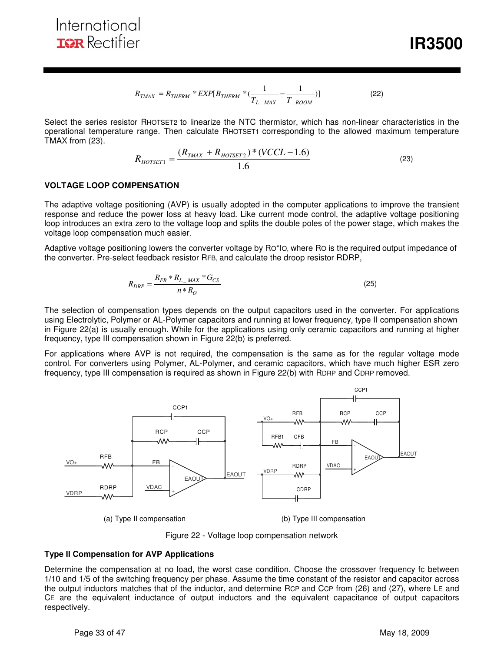$$
R_{TMAX} = R_{THERM} * EXP[B_{THERM} * (\frac{1}{T_{L\_MAX}} - \frac{1}{T_{ROM}})]
$$
 (22)

Select the series resistor RHOTSET2 to linearize the NTC thermistor, which has non-linear characteristics in the operational temperature range. Then calculate RHOTSET1 corresponding to the allowed maximum temperature TMAX from (23).

$$
R_{HOTSET1} = \frac{(R_{TMAX} + R_{HOTSET2}) * (VCL - 1.6)}{1.6}
$$
 (23)

### **VOLTAGE LOOP COMPENSATION**

The adaptive voltage positioning (AVP) is usually adopted in the computer applications to improve the transient response and reduce the power loss at heavy load. Like current mode control, the adaptive voltage positioning loop introduces an extra zero to the voltage loop and splits the double poles of the power stage, which makes the voltage loop compensation much easier.

Adaptive voltage positioning lowers the converter voltage by RO\*IO, where RO is the required output impedance of the converter. Pre-select feedback resistor RFB, and calculate the droop resistor RDRP,

$$
R_{DRP} = \frac{R_{FB} * R_{L_{-}MAX} * G_{CS}}{n * R_{O}}
$$
\n(25)

The selection of compensation types depends on the output capacitors used in the converter. For applications using Electrolytic, Polymer or AL-Polymer capacitors and running at lower frequency, type II compensation shown in Figure 22(a) is usually enough. While for the applications using only ceramic capacitors and running at higher frequency, type III compensation shown in Figure 22(b) is preferred.

For applications where AVP is not required, the compensation is the same as for the regular voltage mode control. For converters using Polymer, AL-Polymer, and ceramic capacitors, which have much higher ESR zero frequency, type III compensation is required as shown in Figure 22(b) with RDRP and CDRP removed.



(a) Type II compensation (b) Type III compensation

Figure 22 - Voltage loop compensation network

#### **Type II Compensation for AVP Applications**

Determine the compensation at no load, the worst case condition. Choose the crossover frequency fc between 1/10 and 1/5 of the switching frequency per phase. Assume the time constant of the resistor and capacitor across the output inductors matches that of the inductor, and determine RCP and CCP from (26) and (27), where LE and CE are the equivalent inductance of output inductors and the equivalent capacitance of output capacitors respectively.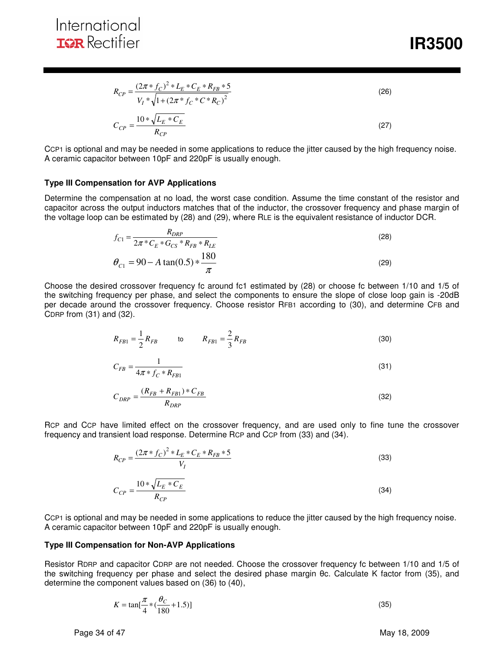*<u><b>IR3500*</u>

$$
R_{CP} = \frac{(2\pi * f_C)^2 * L_E * C_E * R_{FB} * 5}{V_I * \sqrt{1 + (2\pi * f_C * C * R_C)^2}}
$$
\n
$$
C_{CP} = \frac{10 * \sqrt{L_E * C_E}}{R_{CP}}
$$
\n(27)

CCP1 is optional and may be needed in some applications to reduce the jitter caused by the high frequency noise. A ceramic capacitor between 10pF and 220pF is usually enough.

#### **Type III Compensation for AVP Applications**

Determine the compensation at no load, the worst case condition. Assume the time constant of the resistor and capacitor across the output inductors matches that of the inductor, the crossover frequency and phase margin of the voltage loop can be estimated by (28) and (29), where RLE is the equivalent resistance of inductor DCR.

$$
f_{C1} = \frac{R_{DRP}}{2\pi \times C_E \times G_{CS} \times R_{FB} \times R_{LE}}
$$
  
\n
$$
\theta_{C1} = 90 - A \tan(0.5) \times \frac{180}{\pi}
$$
\n(29)

Choose the desired crossover frequency fc around fc1 estimated by (28) or choose fc between 1/10 and 1/5 of the switching frequency per phase, and select the components to ensure the slope of close loop gain is -20dB per decade around the crossover frequency. Choose resistor RFB1 according to (30), and determine CFB and CDRP from (31) and (32).

$$
R_{FB1} = \frac{1}{2} R_{FB} \qquad \qquad \text{to} \qquad R_{FB1} = \frac{2}{3} R_{FB} \tag{30}
$$

$$
C_{FB} = \frac{1}{4\pi * f_C * R_{FB1}}
$$
\n(31)

$$
C_{DRP} = \frac{(R_{FB} + R_{FB1}) \cdot C_{FB}}{R_{DRP}} \tag{32}
$$

RCP and CCP have limited effect on the crossover frequency, and are used only to fine tune the crossover frequency and transient load response. Determine RCP and CCP from (33) and (34).

$$
R_{CP} = \frac{(2\pi * f_C)^2 * L_E * C_E * R_{FB} * 5}{V_I}
$$
\n
$$
C_{CP} = \frac{10 * \sqrt{L_E * C_E}}{R_{CP}}
$$
\n(33)

CCP1 is optional and may be needed in some applications to reduce the jitter caused by the high frequency noise. A ceramic capacitor between 10pF and 220pF is usually enough.

#### **Type III Compensation for Non-AVP Applications**

Resistor RDRP and capacitor CDRP are not needed. Choose the crossover frequency fc between 1/10 and 1/5 of the switching frequency per phase and select the desired phase margin θc. Calculate K factor from (35), and determine the component values based on (36) to (40),

$$
K = \tan[\frac{\pi}{4} * (\frac{\theta_C}{180} + 1.5)]
$$
\n(35)

Page 34 of 47 May 18, 2009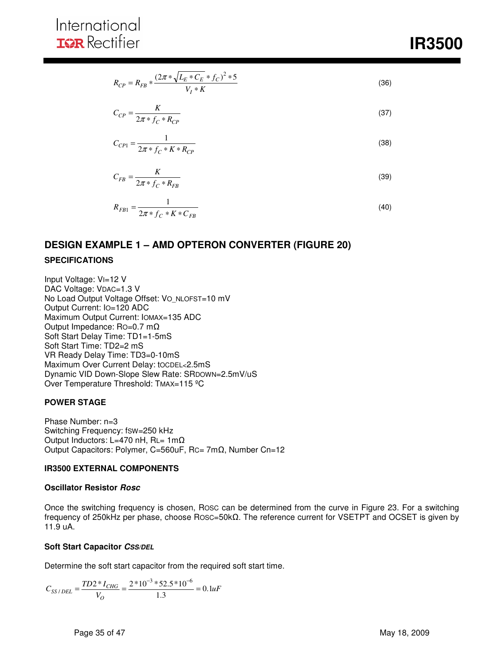$$
R_{CP} = R_{FB} * \frac{(2\pi * \sqrt{L_E * C_E} * f_C)^2 * 5}{V_I * K}
$$
\n(36)

$$
C_{CP} = \frac{K}{2\pi \cdot f_C \cdot R_{CP}}
$$
\n
$$
\tag{37}
$$

$$
C_{CP1} = \frac{1}{2\pi * f_C * K * R_{CP}}
$$
\n(38)

$$
C_{FB} = \frac{K}{2\pi * f_C * R_{FB}}
$$
(39)

$$
R_{FB1} = \frac{1}{2\pi * f_C * K * C_{FB}}
$$
\n(40)

# **DESIGN EXAMPLE 1 – AMD OPTERON CONVERTER (FIGURE 20)**

### **SPECIFICATIONS**

Input Voltage: VI=12 V DAC Voltage: VDAC=1.3 V No Load Output Voltage Offset: VO\_NLOFST=10 mV Output Current: IO=120 ADC Maximum Output Current: IOMAX=135 ADC Output Impedance: RO=0.7 mΩ Soft Start Delay Time: TD1=1-5mS Soft Start Time: TD2=2 mS VR Ready Delay Time: TD3=0-10mS Maximum Over Current Delay: tOCDEL<2.5mS Dynamic VID Down-Slope Slew Rate: SRDOWN=2.5mV/uS Over Temperature Threshold: TMAX=115 ºC

#### **POWER STAGE**

Phase Number: n=3 Switching Frequency: fSW=250 kHz Output Inductors: L=470 nH, RL= 1mΩ Output Capacitors: Polymer, C=560uF, RC= 7mΩ, Number Cn=12

#### **IR3500 EXTERNAL COMPONENTS**

#### **Oscillator Resistor Rosc**

Once the switching frequency is chosen, ROSC can be determined from the curve in Figure 23. For a switching frequency of 250kHz per phase, choose ROSC=50kΩ. The reference current for VSETPT and OCSET is given by 11.9 uA.

#### **Soft Start Capacitor CSS/DEL**

Determine the soft start capacitor from the required soft start time.

$$
C_{SS/DEL} = \frac{TD2 \cdot N_{CHG}}{V_O} = \frac{2 \cdot 10^{-3} \cdot 52.5 \cdot 10^{-6}}{1.3} = 0.1 uF
$$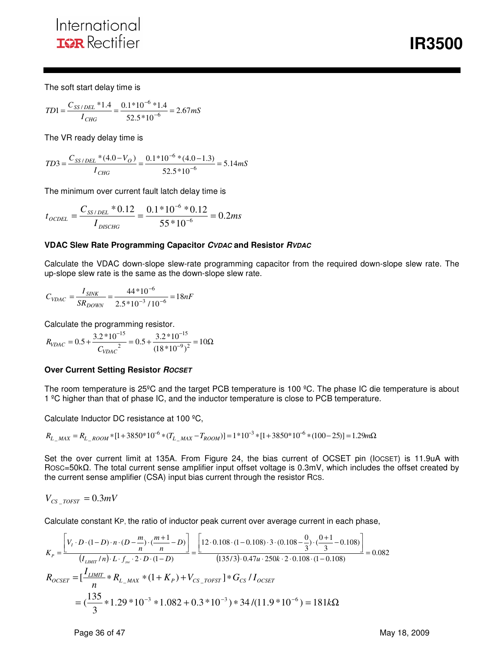*<u><b>IR3500*</u>

The soft start delay time is

$$
TD1 = \frac{C_{SS/DEL} * 1.4}{I_{CHG}} = \frac{0.1 * 10^{-6} * 1.4}{52.5 * 10^{-6}} = 2.67 mS
$$

The VR ready delay time is

$$
TD3 = \frac{C_{SS/DEL} * (4.0 - V_O)}{I_{CHG}} = \frac{0.1 * 10^{-6} * (4.0 - 1.3)}{52.5 * 10^{-6}} = 5.14 mS
$$

The minimum over current fault latch delay time is

$$
t_{\text{OCDEL}} = \frac{C_{SS/DEL} * 0.12}{I_{\text{DISCHG}}} = \frac{0.1 * 10^{-6} * 0.12}{55 * 10^{-6}} = 0.2ms
$$

#### **VDAC Slew Rate Programming Capacitor CVDAC and Resistor RVDAC**

Calculate the VDAC down-slope slew-rate programming capacitor from the required down-slope slew rate. The up-slope slew rate is the same as the down-slope slew rate.

$$
C_{VDAC} = \frac{I_{SINK}}{SR_{DOWN}} = \frac{44*10^{-6}}{2.5*10^{-3}/10^{-6}} = 18nF
$$

Calculate the programming resistor.

$$
R_{VDAC} = 0.5 + \frac{3.2 * 10^{-15}}{C_{VDAC}} = 0.5 + \frac{3.2 * 10^{-15}}{(18 * 10^{-9})^2} = 10\Omega
$$

#### **Over Current Setting Resistor ROCSET**

The room temperature is 25ºC and the target PCB temperature is 100 ºC. The phase IC die temperature is about 1 ºC higher than that of phase IC, and the inductor temperature is close to PCB temperature.

Calculate Inductor DC resistance at 100 ºC,

$$
R_{L\_MAX} = R_{L\_ROM} * [1 + 3850 * 10^{-6} * (T_{L\_MAX} - T_{ROM})] = 1 * 10^{-3} * [1 + 3850 * 10^{-6} * (100 - 25)] = 1.29 m\Omega
$$

Set the over current limit at 135A. From Figure 24, the bias current of OCSET pin (IOCSET) is 11.9uA with ROSC=50kΩ. The total current sense amplifier input offset voltage is 0.3mV, which includes the offset created by the current sense amplifier (CSA) input bias current through the resistor RCS.

$$
V_{CS\_TOFST} = 0.3 mV
$$

Calculate constant KP, the ratio of inductor peak current over average current in each phase,

$$
K_{p} = \frac{\left[V_{l} \cdot D \cdot (1 - D) \cdot n \cdot (D - \frac{m}{n}) \cdot (\frac{m+1}{n} - D)\right]}{(I_{LMMT}/n) \cdot L \cdot f_{sw} \cdot 2 \cdot D \cdot (1 - D)} = \frac{\left[12 \cdot 0.108 \cdot (1 - 0.108) \cdot 3 \cdot (0.108 - \frac{0}{3}) \cdot (\frac{0 + 1}{3} - 0.108)\right]}{(135/3) \cdot 0.47u \cdot 250k \cdot 2 \cdot 0.108 \cdot (1 - 0.108)} = 0.082
$$
  

$$
R_{OCSET} = \left[\frac{I_{LMMT}}{n} * R_{L_MAX} * (1 + K_p) + V_{CS\_TOEST}\right] * G_{CS}/I_{OCSET}
$$
  

$$
= (\frac{135}{3} * 1.29 * 10^{-3} * 1.082 + 0.3 * 10^{-3}) * 34/(11.9 * 10^{-6}) = 181k\Omega
$$

Page 36 of 47 May 18, 2009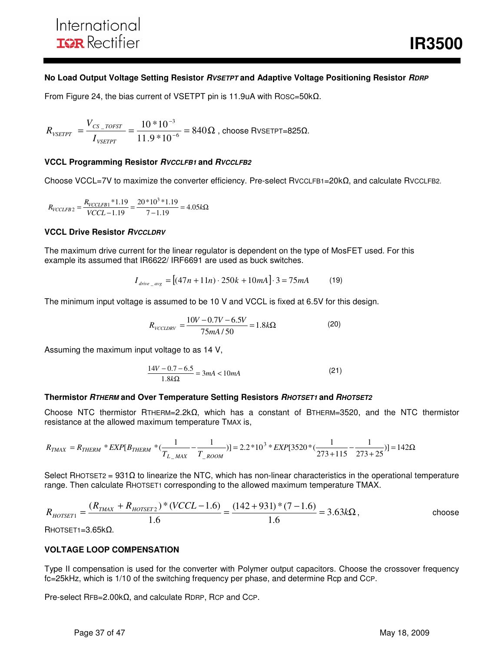#### **No Load Output Voltage Setting Resistor RVSETPT and Adaptive Voltage Positioning Resistor RDRP**

From Figure 24, the bias current of VSETPT pin is 11.9uA with ROSC=50kΩ.

$$
R_{\text{VSETPT}} = \frac{V_{CS\_TOFST}}{I_{\text{VSETPT}}} = \frac{10*10^{-3}}{11.9*10^{-6}} = 840\Omega
$$
, choose RVSETPT=825 $\Omega$ .

#### **VCCL Programming Resistor RVCCLFB1 and RVCCLFB2**

Choose VCCL=7V to maximize the converter efficiency. Pre-select RVCCLFB1=20kΩ, and calculate RVCCLFB2.

$$
R_{VCCLFB2} = \frac{R_{VCCLFB1} * 1.19}{VCCL - 1.19} = \frac{20 * 10^3 * 1.19}{7 - 1.19} = 4.05k\Omega
$$

#### **VCCL Drive Resistor RVCCLDRV**

The maximum drive current for the linear regulator is dependent on the type of MosFET used. For this example its assumed that IR6622/ IRF6691 are used as buck switches.

$$
I_{drive \_{avg}} = [(47n + 11n) \cdot 250k + 10mA] \cdot 3 = 75mA \tag{19}
$$

The minimum input voltage is assumed to be 10 V and VCCL is fixed at 6.5V for this design.

$$
R_{\text{VCCLDRV}} = \frac{10V - 0.7V - 6.5V}{75mA/50} = 1.8k\Omega
$$
 (20)

Assuming the maximum input voltage to as 14 V,

$$
\frac{14V - 0.7 - 6.5}{1.8k\Omega} = 3mA < 10mA
$$
 (21)

#### **Thermistor RTHERM and Over Temperature Setting Resistors RHOTSET1 and RHOTSET2**

Choose NTC thermistor RTHERM=2.2kΩ, which has a constant of BTHERM=3520, and the NTC thermistor resistance at the allowed maximum temperature TMAX is,

$$
R_{TMAX}=R_{THERM}*EXP[B_{THERM}*(\frac{1}{T_{L\_MAX}}-\frac{1}{T_{\_ROOM}})]=2.2*10^3*EXP[3520*(\frac{1}{273+115}-\frac{1}{273+25})]=142\Omega
$$

Select RHOTSET2 = 931Ω to linearize the NTC, which has non-linear characteristics in the operational temperature range. Then calculate RHOTSET1 corresponding to the allowed maximum temperature TMAX.

$$
R_{HOTSET1} = \frac{(R_{TMAX} + R_{HOTSET2}) * (VCL - 1.6)}{1.6} = \frac{(142 + 931) * (7 - 1.6)}{1.6} = 3.63 \times \Omega
$$
, choose

RHOTSET1=3.65kΩ.

#### **VOLTAGE LOOP COMPENSATION**

Type II compensation is used for the converter with Polymer output capacitors. Choose the crossover frequency fc=25kHz, which is 1/10 of the switching frequency per phase, and determine Rcp and CCP.

Pre-select RFB=2.00kΩ, and calculate RDRP, RCP and CCP.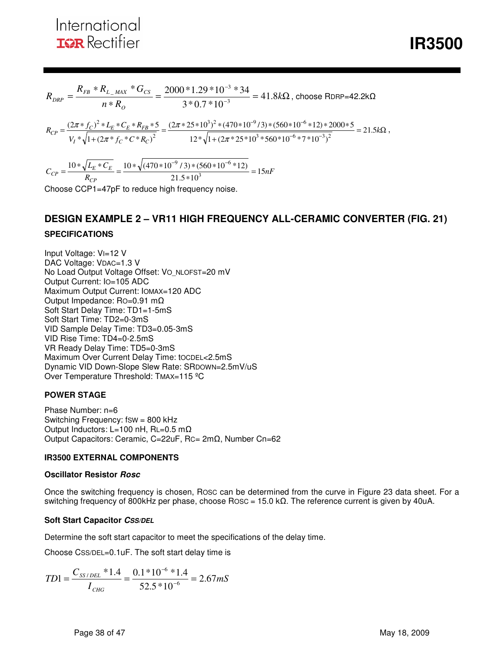*<u><b>IR3500*</u>

$$
R_{DRP} = \frac{R_{FB} * R_{L\_MAX} * G_{CS}}{n * R_o} = \frac{2000 * 1.29 * 10^{-3} * 34}{3 * 0.7 * 10^{-3}} = 41.8k\Omega, \text{ choose RDRP=42.2k}\Omega
$$
  
\n
$$
R_{CP} = \frac{(2\pi * f_C)^2 * L_E * C_E * R_{FB} * 5}{V_I * \sqrt{1 + (2\pi * f_C * C * R_C)^2}} = \frac{(2\pi * 25 * 10^3)^2 * (470 * 10^{-9} / 3) * (560 * 10^{-6} * 12) * 2000 * 5}{12 * \sqrt{1 + (2\pi * 25 * 10^3 * 560 * 10^{-6} * 7 * 10^{-3})^2}} = 21.5k\Omega,
$$
  
\n
$$
C_{CP} = \frac{10 * \sqrt{L_E * C_E}}{P} = \frac{10 * \sqrt{(470 * 10^{-9} / 3) * (560 * 10^{-6} * 12)}}{21.5 * 10^3} = 15nF
$$

*R CP*  $21.5*10^3$ 

Choose CCP1=47pF to reduce high frequency noise.

## **DESIGN EXAMPLE 2 – VR11 HIGH FREQUENCY ALL-CERAMIC CONVERTER (FIG. 21)**

#### **SPECIFICATIONS**

Input Voltage: VI=12 V DAC Voltage: VDAC=1.3 V No Load Output Voltage Offset: VO\_NLOFST=20 mV Output Current: IO=105 ADC Maximum Output Current: IOMAX=120 ADC Output Impedance: RO=0.91 mΩ Soft Start Delay Time: TD1=1-5mS Soft Start Time: TD2=0-3mS VID Sample Delay Time: TD3=0.05-3mS VID Rise Time: TD4=0-2.5mS VR Ready Delay Time: TD5=0-3mS Maximum Over Current Delay Time: tOCDEL<2.5mS Dynamic VID Down-Slope Slew Rate: SRDOWN=2.5mV/uS Over Temperature Threshold: TMAX=115 °C

#### **POWER STAGE**

Phase Number: n=6 Switching Frequency: fsw = 800 kHz Output Inductors: L=100 nH, RL=0.5 mΩ Output Capacitors: Ceramic, C=22uF, RC= 2mΩ, Number Cn=62

#### **IR3500 EXTERNAL COMPONENTS**

#### **Oscillator Resistor Rosc**

Once the switching frequency is chosen, ROSC can be determined from the curve in Figure 23 data sheet. For a switching frequency of 800kHz per phase, choose ROSC = 15.0 kΩ. The reference current is given by 40uA.

#### **Soft Start Capacitor CSS/DEL**

Determine the soft start capacitor to meet the specifications of the delay time.

Choose CSS/DEL=0.1uF. The soft start delay time is

$$
TD1 = \frac{C_{SS/DEL} * 1.4}{I_{CHG}} = \frac{0.1 * 10^{-6} * 1.4}{52.5 * 10^{-6}} = 2.67 mS
$$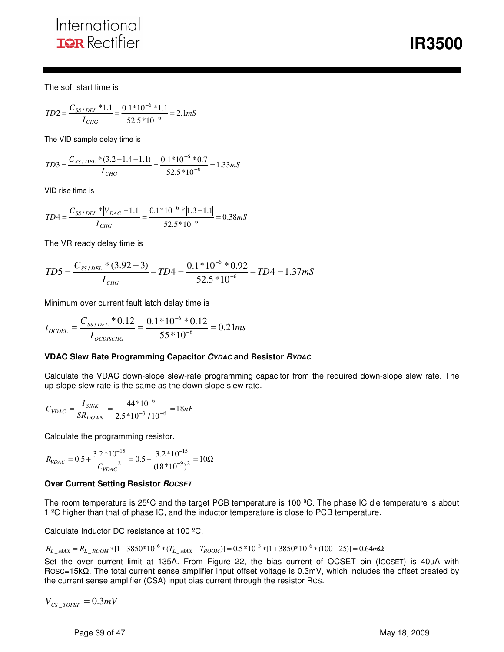**IR3500** 

The soft start time is

$$
TD2 = \frac{C_{SS/DEL} * 1.1}{I_{CHG}} = \frac{0.1 * 10^{-6} * 1.1}{52.5 * 10^{-6}} = 2.1 mS
$$

The VID sample delay time is

$$
TD3 = \frac{C_{SS/DEL} * (3.2 - 1.4 - 1.1)}{I_{CHG}} = \frac{0.1 * 10^{-6} * 0.7}{52.5 * 10^{-6}} = 1.33 mS
$$

VID rise time is

$$
TD4 = \frac{C_{SS/DEL} * |V_{DAC} - 1.1|}{I_{CHG}} = \frac{0.1 * 10^{-6} * |1.3 - 1.1|}{52.5 * 10^{-6}} = 0.38 mS
$$

The VR ready delay time is

$$
TD5 = \frac{C_{SS/DEL} * (3.92 - 3)}{I_{CHG}} - TD4 = \frac{0.1 * 10^{-6} * 0.92}{52.5 * 10^{-6}} - TD4 = 1.37 \, \text{mS}
$$

Minimum over current fault latch delay time is

$$
t_{\text{OCDEL}} = \frac{C_{SS/DEL} * 0.12}{I_{\text{OCDISCHG}}} = \frac{0.1 * 10^{-6} * 0.12}{55 * 10^{-6}} = 0.21 ms
$$

#### **VDAC Slew Rate Programming Capacitor CVDAC and Resistor RVDAC**

Calculate the VDAC down-slope slew-rate programming capacitor from the required down-slope slew rate. The up-slope slew rate is the same as the down-slope slew rate.

$$
C_{VDAC} = \frac{I_{SINK}}{SR_{DOWN}} = \frac{44*10^{-6}}{2.5*10^{-3} / 10^{-6}} = 18nF
$$

Calculate the programming resistor.

$$
R_{VDAC} = 0.5 + \frac{3.2 * 10^{-15}}{C_{VDAC}} = 0.5 + \frac{3.2 * 10^{-15}}{(18 * 10^{-9})^2} = 10\Omega
$$

#### **Over Current Setting Resistor ROCSET**

The room temperature is 25°C and the target PCB temperature is 100 °C. The phase IC die temperature is about 1 ºC higher than that of phase IC, and the inductor temperature is close to PCB temperature.

Calculate Inductor DC resistance at 100 ºC,

$$
R_{L\_MAX} = R_{L\_Room} * [1 + 3850 * 10^{-6} * (T_{L\_MAX} - T_{ROOM})] = 0.5 * 10^{-3} * [1 + 3850 * 10^{-6} * (100 - 25)] = 0.64 m\Omega
$$

Set the over current limit at 135A. From Figure 22, the bias current of OCSET pin (IOCSET) is 40uA with ROSC=15kΩ. The total current sense amplifier input offset voltage is 0.3mV, which includes the offset created by the current sense amplifier (CSA) input bias current through the resistor RCS.

$$
V_{CS\_TOFST} = 0.3mV
$$

Page 39 of 47 May 18, 2009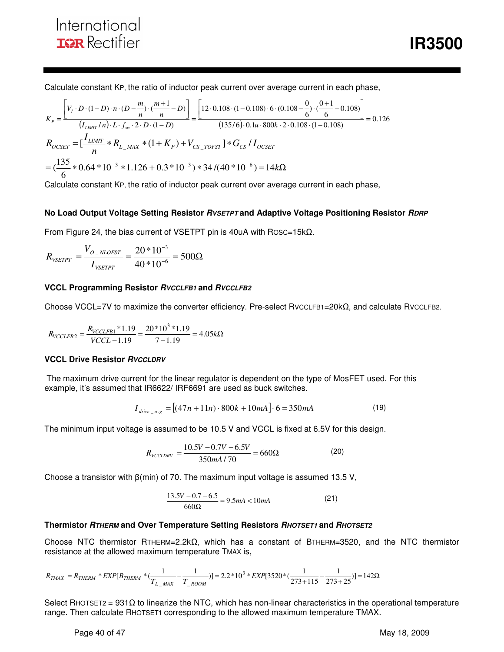Calculate constant KP, the ratio of inductor peak current over average current in each phase,

$$
K_{P} = \frac{\left[V_{I} \cdot D \cdot (1 - D) \cdot n \cdot (D - \frac{m}{n}) \cdot (\frac{m + 1}{n} - D)\right]}{(I_{LMMT}/n) \cdot L \cdot f_{sw} \cdot 2 \cdot D \cdot (1 - D)} = \frac{\left[12 \cdot 0.108 \cdot (1 - 0.108) \cdot 6 \cdot (0.108 - \frac{0}{6}) \cdot (\frac{0 + 1}{6} - 0.108)\right]}{(135/6) \cdot 0.1u \cdot 800k \cdot 2 \cdot 0.108 \cdot (1 - 0.108)} = 0.126
$$
  

$$
R_{OCSET} = \left[\frac{I_{LMMT}}{n} * R_{L_MAX} * (1 + K_P) + V_{CS\_TOFST}\right] * G_{CS}/I_{OCSET}
$$
  

$$
= \left(\frac{135}{6} * 0.64 * 10^{-3} * 1.126 + 0.3 * 10^{-3}\right) * 34/(40 * 10^{-6}) = 14k\Omega
$$

Calculate constant KP, the ratio of inductor peak current over average current in each phase,

#### **No Load Output Voltage Setting Resistor** *RVSETPT* **and Adaptive Voltage Positioning Resistor** *RDRP*

From Figure 24, the bias current of VSETPT pin is 40uA with ROSC=15kΩ.

$$
R_{\text{vSETPT}} = \frac{V_{O_{\text{NLOFST}}}}{I_{\text{vSETPT}}} = \frac{20 * 10^{-3}}{40 * 10^{-6}} = 500 \Omega
$$

#### **VCCL Programming Resistor RVCCLFB1 and RVCCLFB2**

Choose VCCL=7V to maximize the converter efficiency. Pre-select RVCCLFB1=20kΩ, and calculate RVCCLFB2.

$$
R_{VCCLFB2} = \frac{R_{VCCLFB1} * 1.19}{VCCL - 1.19} = \frac{20 * 10^3 * 1.19}{7 - 1.19} = 4.05k\Omega
$$

#### **VCCL Drive Resistor** *RVCCLDRV*

 The maximum drive current for the linear regulator is dependent on the type of MosFET used. For this example, it's assumed that IR6622/ IRF6691 are used as buck switches.

$$
I_{drive \_{avg}} = [(47n + 11n) \cdot 800k + 10mA] \cdot 6 = 350mA \tag{19}
$$

The minimum input voltage is assumed to be 10.5 V and VCCL is fixed at 6.5V for this design.

$$
R_{\text{VCCLDRV}} = \frac{10.5V - 0.7V - 6.5V}{350mA/70} = 660\Omega
$$
 (20)

Choose a transistor with  $\beta$ (min) of 70. The maximum input voltage is assumed 13.5 V,

$$
\frac{13.5V - 0.7 - 6.5}{660\Omega} = 9.5mA < 10mA
$$
 (21)

#### **Thermistor RTHERM and Over Temperature Setting Resistors RHOTSET1 and RHOTSET2**

Choose NTC thermistor RTHERM=2.2kΩ, which has a constant of BTHERM=3520, and the NTC thermistor resistance at the allowed maximum temperature TMAX is,

$$
R_{TMAX}=R_{THERM}*EXP[B_{THERM}*(\frac{1}{T_{L\_MAX}}-\frac{1}{T_{\_Room}})]=2.2*10^{3}*EXP[3520*(\frac{1}{273+115}-\frac{1}{273+25})]=142\Omega
$$

Select RHOTSET2 = 931Ω to linearize the NTC, which has non-linear characteristics in the operational temperature range. Then calculate RHOTSET1 corresponding to the allowed maximum temperature TMAX.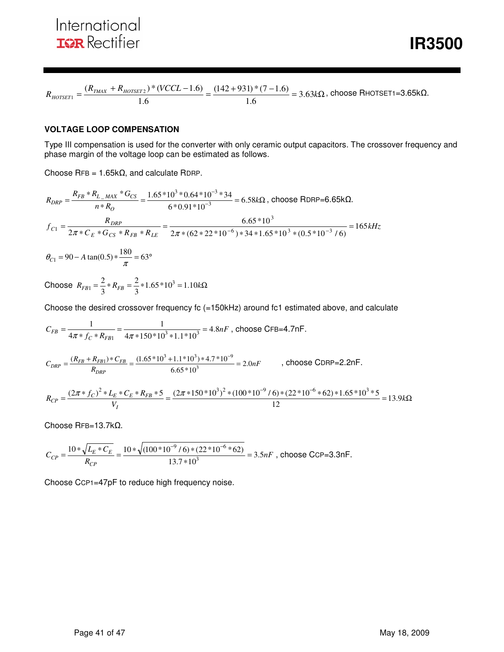**IR3500** 

$$
R_{\text{HOTSET1}} = \frac{(R_{\text{TMAX}} + R_{\text{HOTSET2}}) * (VCCL - 1.6)}{1.6} = \frac{(142 + 931) * (7 - 1.6)}{1.6} = 3.63 \text{k}\Omega, \text{ choose RHOTSET1 = 3.65 k}\Omega.
$$

#### **VOLTAGE LOOP COMPENSATION**

Type III compensation is used for the converter with only ceramic output capacitors. The crossover frequency and phase margin of the voltage loop can be estimated as follows.

Choose  $RFB = 1.65k\Omega$ , and calculate RDRP.

$$
R_{DRP} = \frac{R_{FB} * R_{L_{-}MAX}}{n * R_{O}} = \frac{1.65 * 10^{3} * 0.64 * 10^{-3} * 34}{6 * 0.91 * 10^{-3}} = 6.58k\Omega, \text{ choose RDRP=6.65k}\Omega.
$$
  

$$
f_{C1} = \frac{R_{DRP}}{2\pi * C_{E} * G_{CS} * R_{FB} * R_{LE}} = \frac{6.65 * 10^{3}}{2\pi * (62 * 22 * 10^{-6}) * 34 * 1.65 * 10^{3} * (0.5 * 10^{-3} / 6)} = 165kHz
$$
  
180

 $\theta_{C1} = 90 - A \tan(0.5) * \frac{180}{\pi} = 63^{\circ}$ 

Choose  $R_{FB1} = \frac{2}{3} * R_{FB} = \frac{2}{3} * 1.65 * 10^3 = 1.10 kΩ$ 2 3  $R_{FB} = \frac{2}{3} * R_{FB} = \frac{2}{3} * 1.65 * 10^3$ 

Choose the desired crossover frequency fc (=150kHz) around fc1 estimated above, and calculate

$$
C_{FB} = \frac{1}{4\pi * f_C * R_{FB1}} = \frac{1}{4\pi * 150 * 10^3 * 1.1 * 10^3} = 4.8nF
$$
, choose CFB=4.7nF.

$$
C_{DRP} = \frac{(R_{FB} + R_{FB1}) \cdot C_{FB}}{R_{DRP}} = \frac{(1.65 \cdot 10^3 + 1.1 \cdot 10^3) \cdot 4.7 \cdot 10^{-9}}{6.65 \cdot 10^3} = 2.0nF
$$
, choose CDRP=2.2nF.

$$
R_{CP} = \frac{(2\pi * f_C)^2 * L_E * C_E * R_{FB} * 5}{V_I} = \frac{(2\pi * 150 * 10^3)^2 * (100 * 10^{-9} / 6) * (22 * 10^{-6} * 62) * 1.65 * 10^3 * 5}{12} = 13.9k\Omega
$$

Choose RFB=13.7kΩ.

$$
C_{CP} = \frac{10 * \sqrt{L_E * C_E}}{R_{CP}} = \frac{10 * \sqrt{(100 * 10^{-9} / 6) * (22 * 10^{-6} * 62)}}{13.7 * 10^3} = 3.5 nF
$$
, choose CCP=3.3 nF.

Choose CCP1=47pF to reduce high frequency noise.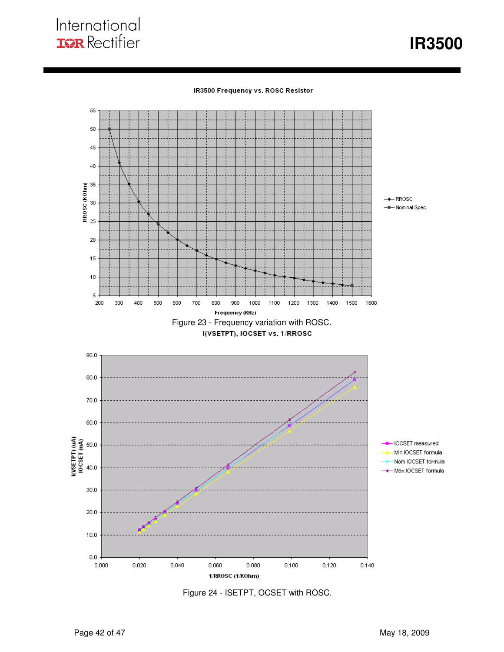**IR3500** 

#### IR3500 Frequency vs. ROSC Resistor



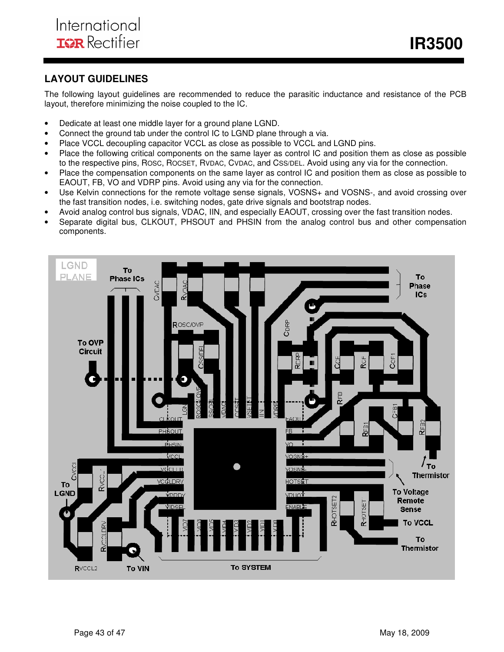## **LAYOUT GUIDELINES**

The following layout guidelines are recommended to reduce the parasitic inductance and resistance of the PCB layout, therefore minimizing the noise coupled to the IC.

- Dedicate at least one middle layer for a ground plane LGND.
- Connect the ground tab under the control IC to LGND plane through a via.
- Place VCCL decoupling capacitor VCCL as close as possible to VCCL and LGND pins.
- Place the following critical components on the same layer as control IC and position them as close as possible to the respective pins, ROSC, ROCSET, RVDAC, CVDAC, and CSS/DEL. Avoid using any via for the connection.
- Place the compensation components on the same layer as control IC and position them as close as possible to EAOUT, FB, VO and VDRP pins. Avoid using any via for the connection.
- Use Kelvin connections for the remote voltage sense signals, VOSNS+ and VOSNS-, and avoid crossing over the fast transition nodes, i.e. switching nodes, gate drive signals and bootstrap nodes.
- Avoid analog control bus signals, VDAC, IIN, and especially EAOUT, crossing over the fast transition nodes.
- Separate digital bus, CLKOUT, PHSOUT and PHSIN from the analog control bus and other compensation components.

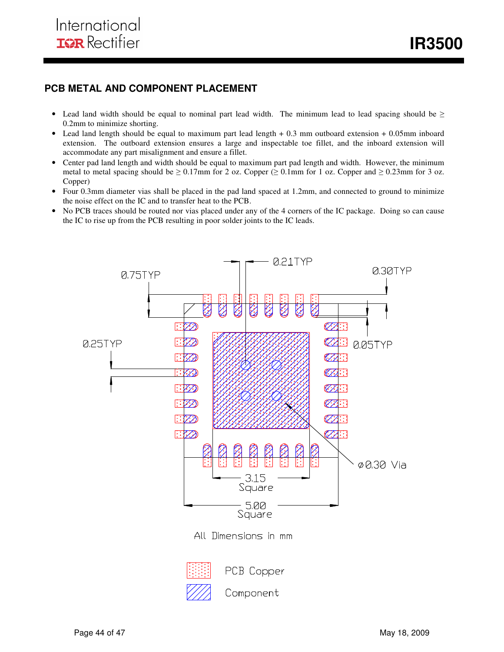## **PCB METAL AND COMPONENT PLACEMENT**

- Lead land width should be equal to nominal part lead width. The minimum lead to lead spacing should be  $\geq$ 0.2mm to minimize shorting.
- Lead land length should be equal to maximum part lead length + 0.3 mm outboard extension + 0.05mm inboard extension. The outboard extension ensures a large and inspectable toe fillet, and the inboard extension will accommodate any part misalignment and ensure a fillet.
- Center pad land length and width should be equal to maximum part pad length and width. However, the minimum metal to metal spacing should be  $\geq 0.17$ mm for 2 oz. Copper ( $\geq 0.1$ mm for 1 oz. Copper and  $\geq 0.23$ mm for 3 oz. Copper)
- Four 0.3mm diameter vias shall be placed in the pad land spaced at 1.2mm, and connected to ground to minimize the noise effect on the IC and to transfer heat to the PCB.
- No PCB traces should be routed nor vias placed under any of the 4 corners of the IC package. Doing so can cause the IC to rise up from the PCB resulting in poor solder joints to the IC leads.

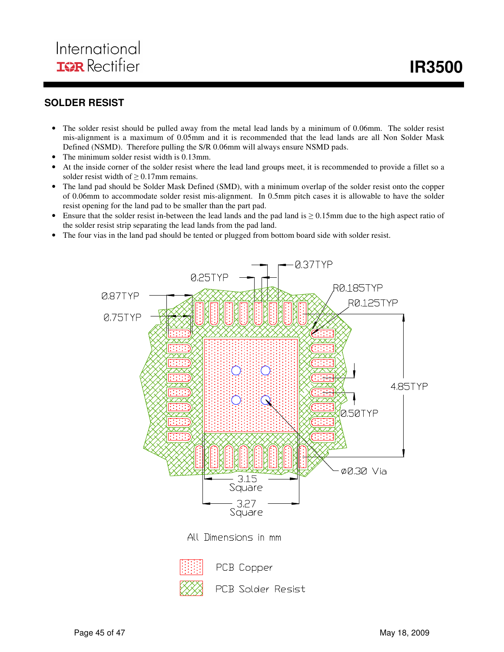## **SOLDER RESIST**

- The solder resist should be pulled away from the metal lead lands by a minimum of 0.06mm. The solder resist mis-alignment is a maximum of 0.05mm and it is recommended that the lead lands are all Non Solder Mask Defined (NSMD). Therefore pulling the S/R 0.06mm will always ensure NSMD pads.
- The minimum solder resist width is 0.13mm.
- At the inside corner of the solder resist where the lead land groups meet, it is recommended to provide a fillet so a solder resist width of  $\geq 0.17$ mm remains.
- The land pad should be Solder Mask Defined (SMD), with a minimum overlap of the solder resist onto the copper of 0.06mm to accommodate solder resist mis-alignment. In 0.5mm pitch cases it is allowable to have the solder resist opening for the land pad to be smaller than the part pad.
- Ensure that the solder resist in-between the lead lands and the pad land is  $\geq 0.15$ mm due to the high aspect ratio of the solder resist strip separating the lead lands from the pad land.
- The four vias in the land pad should be tented or plugged from bottom board side with solder resist.

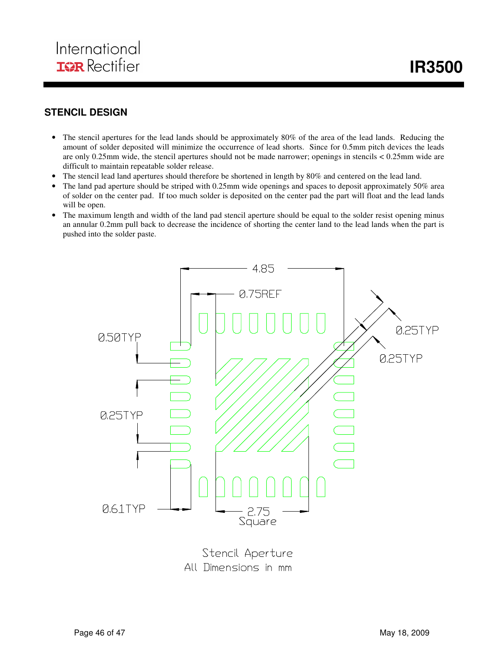

## **STENCIL DESIGN**

- The stencil apertures for the lead lands should be approximately 80% of the area of the lead lands. Reducing the amount of solder deposited will minimize the occurrence of lead shorts. Since for 0.5mm pitch devices the leads are only 0.25mm wide, the stencil apertures should not be made narrower; openings in stencils < 0.25mm wide are difficult to maintain repeatable solder release.
- The stencil lead land apertures should therefore be shortened in length by 80% and centered on the lead land.
- The land pad aperture should be striped with 0.25mm wide openings and spaces to deposit approximately 50% area of solder on the center pad. If too much solder is deposited on the center pad the part will float and the lead lands will be open.
- The maximum length and width of the land pad stencil aperture should be equal to the solder resist opening minus an annular 0.2mm pull back to decrease the incidence of shorting the center land to the lead lands when the part is pushed into the solder paste.



Stencil Aperture All Dimensions in mm